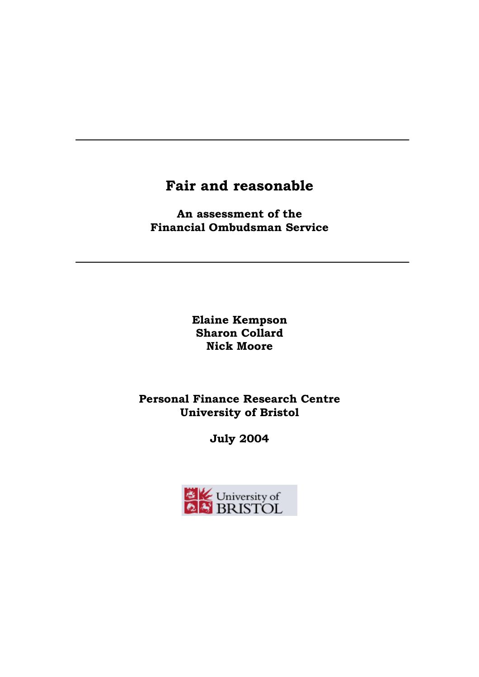# **Fair and reasonable**

**An assessment of the Financial Ombudsman Service**

> **Elaine Kempson Sharon Collard Nick Moore**

**Personal Finance Research Centre University of Bristol** 

**July 2004** 

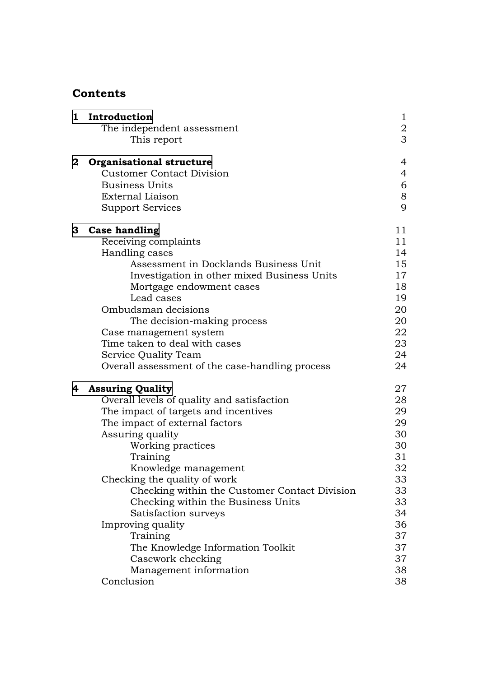### **Contents**

| $\mathbf{1}$ | Introduction                                    | $\mathbf{1}$   |
|--------------|-------------------------------------------------|----------------|
|              | The independent assessment                      | $\frac{2}{3}$  |
|              | This report                                     |                |
| $\bf{2}$     | <b>Organisational structure</b>                 | $\overline{4}$ |
|              | <b>Customer Contact Division</b>                | $\overline{4}$ |
|              | <b>Business Units</b>                           | 6              |
|              | External Liaison                                | 8              |
|              | <b>Support Services</b>                         | 9              |
| 3            | <b>Case handling</b>                            | 11             |
|              | Receiving complaints                            | 11             |
|              | Handling cases                                  | 14             |
|              | Assessment in Docklands Business Unit           | 15             |
|              | Investigation in other mixed Business Units     | 17             |
|              | Mortgage endowment cases                        | 18             |
|              | Lead cases                                      | 19             |
|              | Ombudsman decisions                             | 20             |
|              | The decision-making process                     | 20             |
|              | Case management system                          | 22             |
|              | Time taken to deal with cases                   | 23             |
|              | Service Quality Team                            | 24             |
|              | Overall assessment of the case-handling process | 24             |
| 4            | <b>Assuring Quality</b>                         | 27             |
|              | Overall levels of quality and satisfaction      | 28             |
|              | The impact of targets and incentives            | 29             |
|              | The impact of external factors                  | 29             |
|              | Assuring quality                                | 30             |
|              | Working practices                               | 30             |
|              | Training                                        | 31             |
|              | Knowledge management                            | 32             |
|              | Checking the quality of work                    | 33             |
|              | Checking within the Customer Contact Division   | 33             |
|              | Checking within the Business Units              | 33             |
|              | Satisfaction surveys                            | 34             |
|              | Improving quality                               | 36             |
|              | Training                                        | 37             |
|              | The Knowledge Information Toolkit               | 37             |
|              | Casework checking                               | 37             |
|              | Management information                          | 38             |
|              | Conclusion                                      | 38             |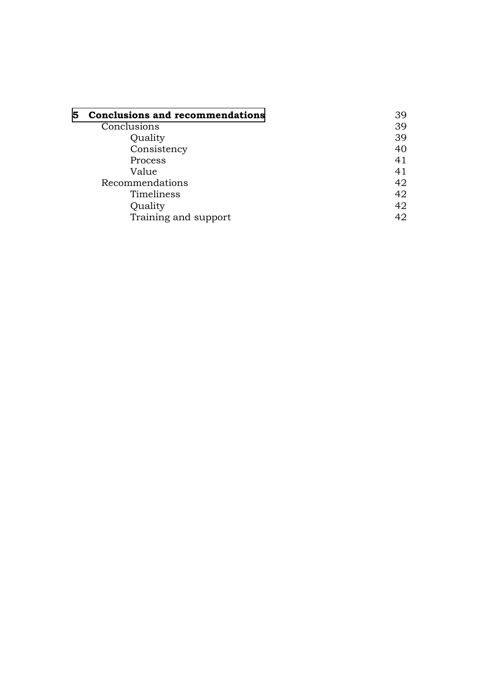| 5. | <b>Conclusions and recommendations</b> | 39 |
|----|----------------------------------------|----|
|    | Conclusions                            | 39 |
|    | Quality                                | 39 |
|    | Consistency                            | 40 |
|    | Process                                | 41 |
|    | Value                                  | 41 |
|    | Recommendations                        | 42 |
|    | Timeliness                             | 42 |
|    | Quality                                | 42 |
|    | Training and support                   | 42 |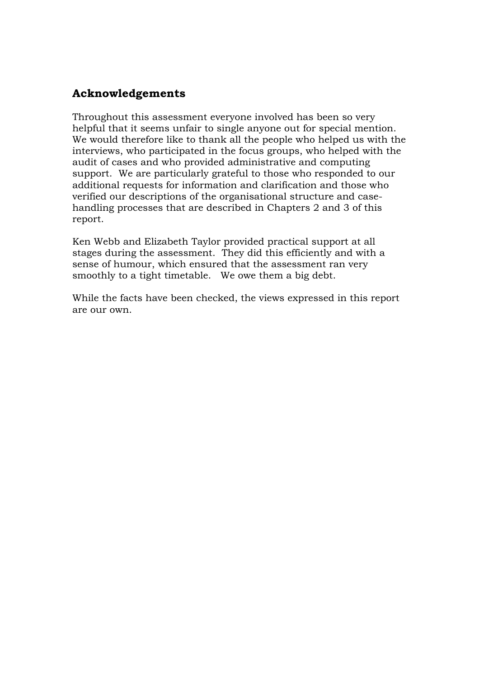## **Acknowledgements**

Throughout this assessment everyone involved has been so very helpful that it seems unfair to single anyone out for special mention. We would therefore like to thank all the people who helped us with the interviews, who participated in the focus groups, who helped with the audit of cases and who provided administrative and computing support. We are particularly grateful to those who responded to our additional requests for information and clarification and those who verified our descriptions of the organisational structure and casehandling processes that are described in Chapters 2 and 3 of this report.

Ken Webb and Elizabeth Taylor provided practical support at all stages during the assessment. They did this efficiently and with a sense of humour, which ensured that the assessment ran very smoothly to a tight timetable. We owe them a big debt.

While the facts have been checked, the views expressed in this report are our own.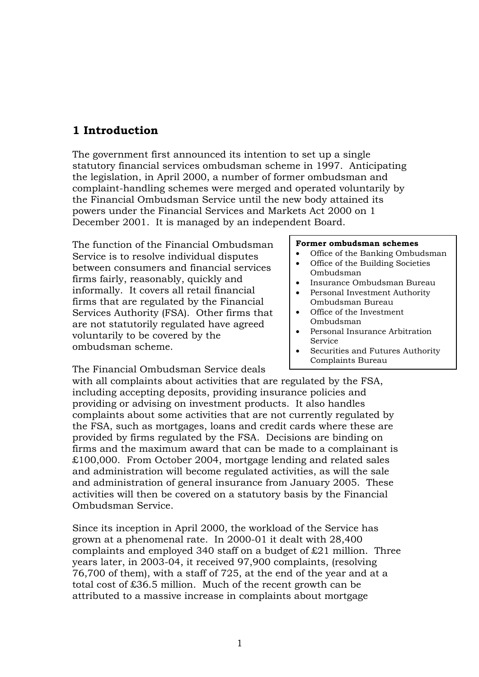## <span id="page-4-0"></span>**1 Introduction**

The government first announced its intention to set up a single statutory financial services ombudsman scheme in 1997. Anticipating the legislation, in April 2000, a number of former ombudsman and complaint-handling schemes were merged and operated voluntarily by the Financial Ombudsman Service until the new body attained its powers under the Financial Services and Markets Act 2000 on 1 December 2001. It is managed by an independent Board.

The function of the Financial Ombudsman Service is to resolve individual disputes between consumers and financial services firms fairly, reasonably, quickly and informally. It covers all retail financial firms that are regulated by the Financial Services Authority (FSA). Other firms that are not statutorily regulated have agreed voluntarily to be covered by the ombudsman scheme.

#### **Former ombudsman schemes**

- Office of the Banking Ombudsman
- Office of the Building Societies Ombudsman
- Insurance Ombudsman Bureau
- Personal Investment Authority Ombudsman Bureau
- Office of the Investment Ombudsman
- Personal Insurance Arbitration Service
- Securities and Futures Authority Complaints Bureau

The Financial Ombudsman Service deals

with all complaints about activities that are regulated by the FSA, including accepting deposits, providing insurance policies and providing or advising on investment products. It also handles complaints about some activities that are not currently regulated by the FSA, such as mortgages, loans and credit cards where these are provided by firms regulated by the FSA. Decisions are binding on firms and the maximum award that can be made to a complainant is £100,000. From October 2004, mortgage lending and related sales and administration will become regulated activities, as will the sale and administration of general insurance from January 2005. These activities will then be covered on a statutory basis by the Financial Ombudsman Service.

Since its inception in April 2000, the workload of the Service has grown at a phenomenal rate. In 2000-01 it dealt with 28,400 complaints and employed 340 staff on a budget of £21 million. Three years later, in 2003-04, it received 97,900 complaints, (resolving 76,700 of them), with a staff of 725, at the end of the year and at a total cost of £36.5 million. Much of the recent growth can be attributed to a massive increase in complaints about mortgage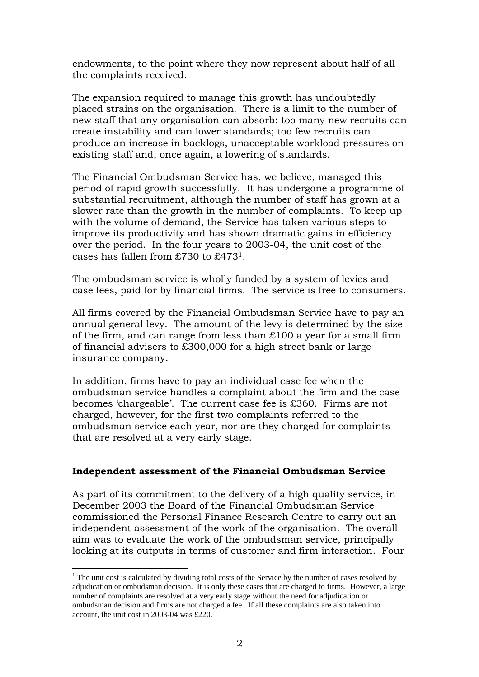endowments, to the point where they now represent about half of all the complaints received.

The expansion required to manage this growth has undoubtedly placed strains on the organisation. There is a limit to the number of new staff that any organisation can absorb: too many new recruits can create instability and can lower standards; too few recruits can produce an increase in backlogs, unacceptable workload pressures on existing staff and, once again, a lowering of standards.

The Financial Ombudsman Service has, we believe, managed this period of rapid growth successfully. It has undergone a programme of substantial recruitment, although the number of staff has grown at a slower rate than the growth in the number of complaints. To keep up with the volume of demand, the Service has taken various steps to improve its productivity and has shown dramatic gains in efficiency over the period. In the four years to 2003-04, the unit cost of the cases has fallen from £730 to £47[31.](#page-5-0)

The ombudsman service is wholly funded by a system of levies and case fees, paid for by financial firms. The service is free to consumers.

All firms covered by the Financial Ombudsman Service have to pay an annual general levy. The amount of the levy is determined by the size of the firm, and can range from less than £100 a year for a small firm of financial advisers to £300,000 for a high street bank or large insurance company.

In addition, firms have to pay an individual case fee when the ombudsman service handles a complaint about the firm and the case becomes 'chargeable'. The current case fee is £360. Firms are not charged, however, for the first two complaints referred to the ombudsman service each year, nor are they charged for complaints that are resolved at a very early stage.

#### **Independent assessment of the Financial Ombudsman Service**

As part of its commitment to the delivery of a high quality service, in December 2003 the Board of the Financial Ombudsman Service commissioned the Personal Finance Research Centre to carry out an independent assessment of the work of the organisation. The overall aim was to evaluate the work of the ombudsman service, principally looking at its outputs in terms of customer and firm interaction. Four

<span id="page-5-0"></span><sup>&</sup>lt;sup>1</sup> The unit cost is calculated by dividing total costs of the Service by the number of cases resolved by adjudication or ombudsman decision. It is only these cases that are charged to firms. However, a large number of complaints are resolved at a very early stage without the need for adjudication or ombudsman decision and firms are not charged a fee. If all these complaints are also taken into account, the unit cost in 2003-04 was £220.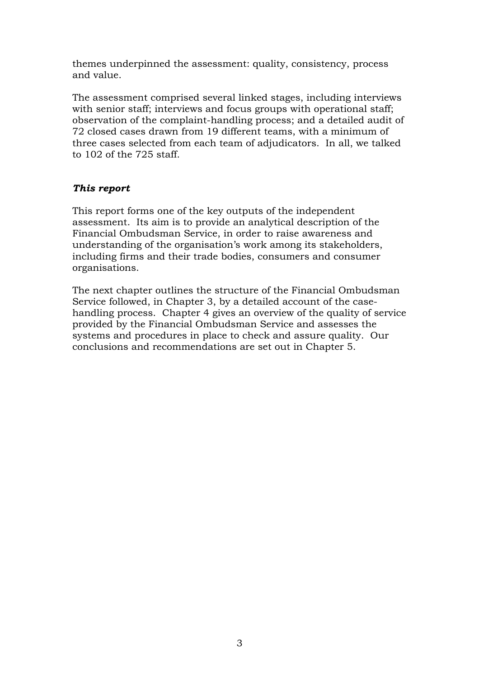themes underpinned the assessment: quality, consistency, process and value.

The assessment comprised several linked stages, including interviews with senior staff; interviews and focus groups with operational staff; observation of the complaint-handling process; and a detailed audit of 72 closed cases drawn from 19 different teams, with a minimum of three cases selected from each team of adjudicators. In all, we talked to 102 of the 725 staff.

#### *This report*

This report forms one of the key outputs of the independent assessment. Its aim is to provide an analytical description of the Financial Ombudsman Service, in order to raise awareness and understanding of the organisation's work among its stakeholders, including firms and their trade bodies, consumers and consumer organisations.

The next chapter outlines the structure of the Financial Ombudsman Service followed, in Chapter 3, by a detailed account of the casehandling process. Chapter 4 gives an overview of the quality of service provided by the Financial Ombudsman Service and assesses the systems and procedures in place to check and assure quality. Our conclusions and recommendations are set out in Chapter 5.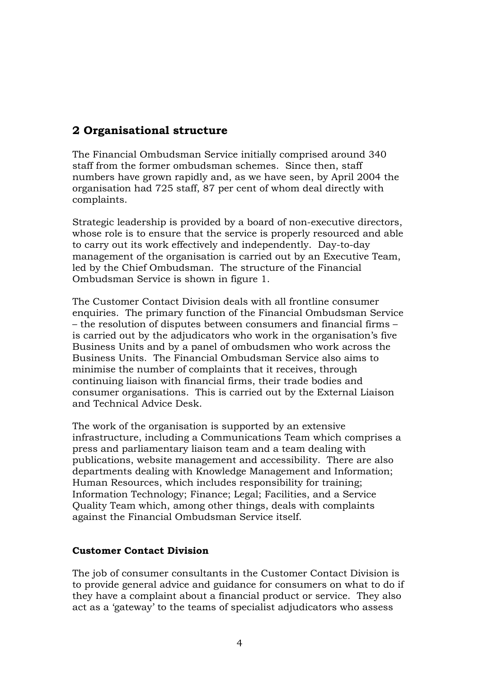## <span id="page-7-0"></span>**2 Organisational structure**

The Financial Ombudsman Service initially comprised around 340 staff from the former ombudsman schemes. Since then, staff numbers have grown rapidly and, as we have seen, by April 2004 the organisation had 725 staff, 87 per cent of whom deal directly with complaints.

Strategic leadership is provided by a board of non-executive directors, whose role is to ensure that the service is properly resourced and able to carry out its work effectively and independently. Day-to-day management of the organisation is carried out by an Executive Team, led by the Chief Ombudsman. The structure of the Financial Ombudsman Service is shown in figure 1.

The Customer Contact Division deals with all frontline consumer enquiries. The primary function of the Financial Ombudsman Service – the resolution of disputes between consumers and financial firms – is carried out by the adjudicators who work in the organisation's five Business Units and by a panel of ombudsmen who work across the Business Units. The Financial Ombudsman Service also aims to minimise the number of complaints that it receives, through continuing liaison with financial firms, their trade bodies and consumer organisations. This is carried out by the External Liaison and Technical Advice Desk.

The work of the organisation is supported by an extensive infrastructure, including a Communications Team which comprises a press and parliamentary liaison team and a team dealing with publications, website management and accessibility. There are also departments dealing with Knowledge Management and Information; Human Resources, which includes responsibility for training; Information Technology; Finance; Legal; Facilities, and a Service Quality Team which, among other things, deals with complaints against the Financial Ombudsman Service itself.

#### **Customer Contact Division**

The job of consumer consultants in the Customer Contact Division is to provide general advice and guidance for consumers on what to do if they have a complaint about a financial product or service. They also act as a 'gateway' to the teams of specialist adjudicators who assess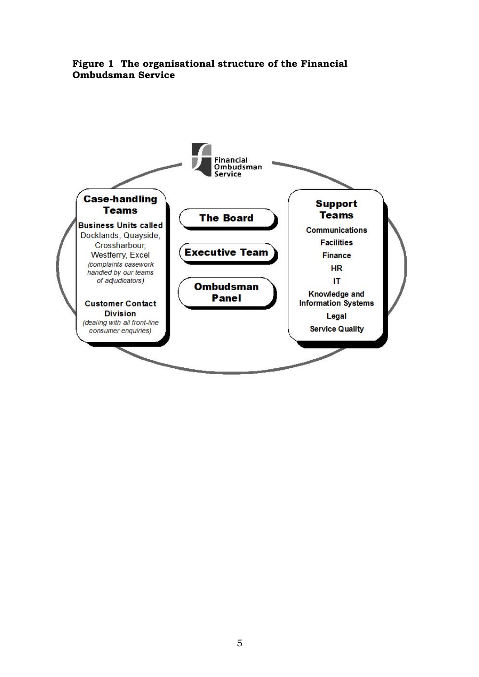

#### **Figure 1 The organisational structure of the Financial Ombudsman Service**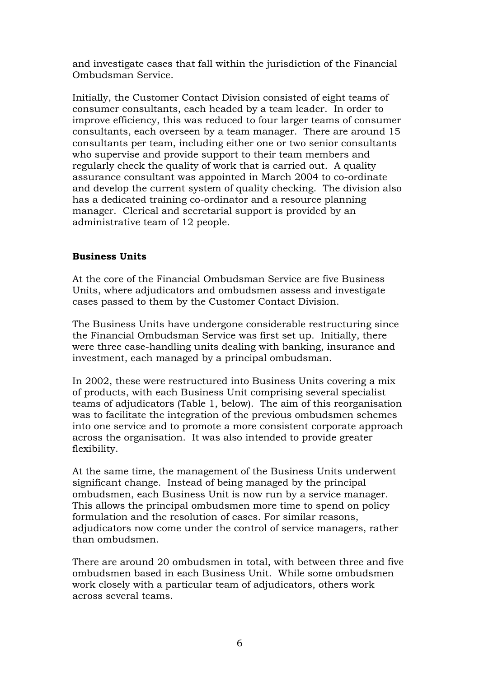and investigate cases that fall within the jurisdiction of the Financial Ombudsman Service.

Initially, the Customer Contact Division consisted of eight teams of consumer consultants, each headed by a team leader. In order to improve efficiency, this was reduced to four larger teams of consumer consultants, each overseen by a team manager. There are around 15 consultants per team, including either one or two senior consultants who supervise and provide support to their team members and regularly check the quality of work that is carried out. A quality assurance consultant was appointed in March 2004 to co-ordinate and develop the current system of quality checking. The division also has a dedicated training co-ordinator and a resource planning manager. Clerical and secretarial support is provided by an administrative team of 12 people.

#### **Business Units**

At the core of the Financial Ombudsman Service are five Business Units, where adjudicators and ombudsmen assess and investigate cases passed to them by the Customer Contact Division.

The Business Units have undergone considerable restructuring since the Financial Ombudsman Service was first set up. Initially, there were three case-handling units dealing with banking, insurance and investment, each managed by a principal ombudsman.

In 2002, these were restructured into Business Units covering a mix of products, with each Business Unit comprising several specialist teams of adjudicators (Table 1, below). The aim of this reorganisation was to facilitate the integration of the previous ombudsmen schemes into one service and to promote a more consistent corporate approach across the organisation. It was also intended to provide greater flexibility.

At the same time, the management of the Business Units underwent significant change. Instead of being managed by the principal ombudsmen, each Business Unit is now run by a service manager. This allows the principal ombudsmen more time to spend on policy formulation and the resolution of cases. For similar reasons, adjudicators now come under the control of service managers, rather than ombudsmen.

There are around 20 ombudsmen in total, with between three and five ombudsmen based in each Business Unit. While some ombudsmen work closely with a particular team of adjudicators, others work across several teams.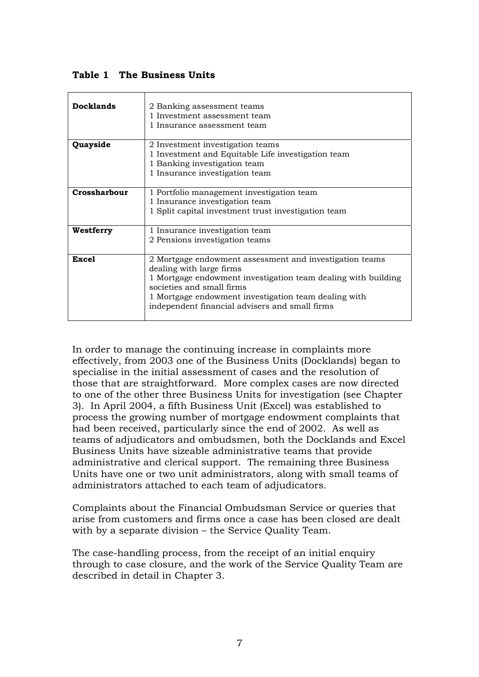**Table 1 The Business Units**

| <b>Docklands</b> | 2 Banking assessment teams<br>1 Investment assessment team<br>1 Insurance assessment team                                                                                                                                                                                                   |
|------------------|---------------------------------------------------------------------------------------------------------------------------------------------------------------------------------------------------------------------------------------------------------------------------------------------|
| Quayside         | 2 Investment investigation teams<br>1 Investment and Equitable Life investigation team<br>1 Banking investigation team<br>1 Insurance investigation team                                                                                                                                    |
| Crossharbour     | 1 Portfolio management investigation team<br>1 Insurance investigation team<br>1 Split capital investment trust investigation team                                                                                                                                                          |
| Westferry        | 1 Insurance investigation team<br>2 Pensions investigation teams                                                                                                                                                                                                                            |
| <b>Excel</b>     | 2 Mortgage endowment assessment and investigation teams<br>dealing with large firms<br>1 Mortgage endowment investigation team dealing with building<br>societies and small firms<br>1 Mortgage endowment investigation team dealing with<br>independent financial advisers and small firms |

In order to manage the continuing increase in complaints more effectively, from 2003 one of the Business Units (Docklands) began to specialise in the initial assessment of cases and the resolution of those that are straightforward. More complex cases are now directed to one of the other three Business Units for investigation (see Chapter 3). In April 2004, a fifth Business Unit (Excel) was established to process the growing number of mortgage endowment complaints that had been received, particularly since the end of 2002. As well as teams of adjudicators and ombudsmen, both the Docklands and Excel Business Units have sizeable administrative teams that provide administrative and clerical support. The remaining three Business Units have one or two unit administrators, along with small teams of administrators attached to each team of adjudicators.

Complaints about the Financial Ombudsman Service or queries that arise from customers and firms once a case has been closed are dealt with by a separate division – the Service Quality Team.

The case-handling process, from the receipt of an initial enquiry through to case closure, and the work of the Service Quality Team are described in detail in Chapter 3.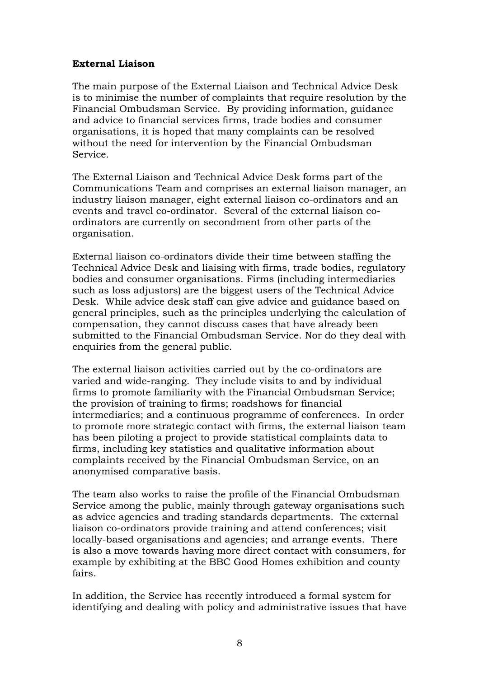#### **External Liaison**

The main purpose of the External Liaison and Technical Advice Desk is to minimise the number of complaints that require resolution by the Financial Ombudsman Service. By providing information, guidance and advice to financial services firms, trade bodies and consumer organisations, it is hoped that many complaints can be resolved without the need for intervention by the Financial Ombudsman Service.

The External Liaison and Technical Advice Desk forms part of the Communications Team and comprises an external liaison manager, an industry liaison manager, eight external liaison co-ordinators and an events and travel co-ordinator. Several of the external liaison coordinators are currently on secondment from other parts of the organisation.

External liaison co-ordinators divide their time between staffing the Technical Advice Desk and liaising with firms, trade bodies, regulatory bodies and consumer organisations. Firms (including intermediaries such as loss adjustors) are the biggest users of the Technical Advice Desk. While advice desk staff can give advice and guidance based on general principles, such as the principles underlying the calculation of compensation, they cannot discuss cases that have already been submitted to the Financial Ombudsman Service. Nor do they deal with enquiries from the general public.

The external liaison activities carried out by the co-ordinators are varied and wide-ranging. They include visits to and by individual firms to promote familiarity with the Financial Ombudsman Service; the provision of training to firms; roadshows for financial intermediaries; and a continuous programme of conferences. In order to promote more strategic contact with firms, the external liaison team has been piloting a project to provide statistical complaints data to firms, including key statistics and qualitative information about complaints received by the Financial Ombudsman Service, on an anonymised comparative basis.

The team also works to raise the profile of the Financial Ombudsman Service among the public, mainly through gateway organisations such as advice agencies and trading standards departments. The external liaison co-ordinators provide training and attend conferences; visit locally-based organisations and agencies; and arrange events. There is also a move towards having more direct contact with consumers, for example by exhibiting at the BBC Good Homes exhibition and county fairs.

In addition, the Service has recently introduced a formal system for identifying and dealing with policy and administrative issues that have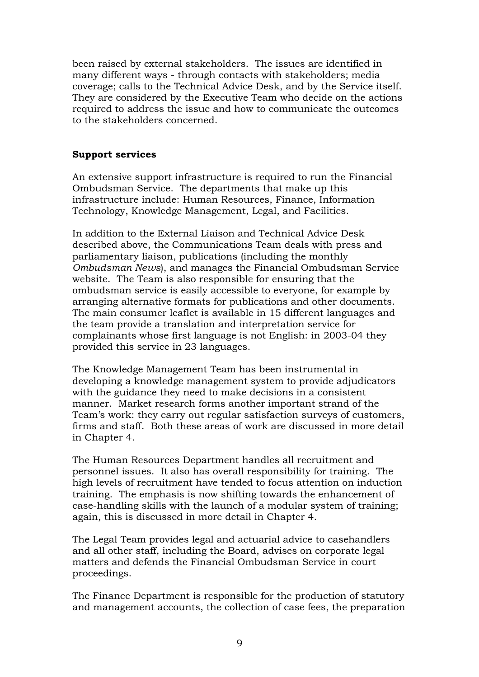been raised by external stakeholders. The issues are identified in many different ways - through contacts with stakeholders; media coverage; calls to the Technical Advice Desk, and by the Service itself. They are considered by the Executive Team who decide on the actions required to address the issue and how to communicate the outcomes to the stakeholders concerned.

#### **Support services**

An extensive support infrastructure is required to run the Financial Ombudsman Service. The departments that make up this infrastructure include: Human Resources, Finance, Information Technology, Knowledge Management, Legal, and Facilities.

In addition to the External Liaison and Technical Advice Desk described above, the Communications Team deals with press and parliamentary liaison, publications (including the monthly *Ombudsman News*), and manages the Financial Ombudsman Service website. The Team is also responsible for ensuring that the ombudsman service is easily accessible to everyone, for example by arranging alternative formats for publications and other documents. The main consumer leaflet is available in 15 different languages and the team provide a translation and interpretation service for complainants whose first language is not English: in 2003-04 they provided this service in 23 languages.

The Knowledge Management Team has been instrumental in developing a knowledge management system to provide adjudicators with the guidance they need to make decisions in a consistent manner. Market research forms another important strand of the Team's work: they carry out regular satisfaction surveys of customers, firms and staff. Both these areas of work are discussed in more detail in Chapter 4.

The Human Resources Department handles all recruitment and personnel issues. It also has overall responsibility for training. The high levels of recruitment have tended to focus attention on induction training. The emphasis is now shifting towards the enhancement of case-handling skills with the launch of a modular system of training; again, this is discussed in more detail in Chapter 4.

The Legal Team provides legal and actuarial advice to casehandlers and all other staff, including the Board, advises on corporate legal matters and defends the Financial Ombudsman Service in court proceedings.

The Finance Department is responsible for the production of statutory and management accounts, the collection of case fees, the preparation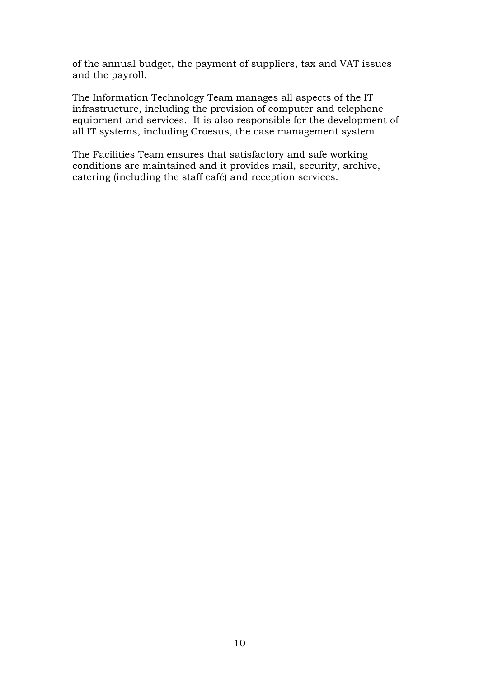of the annual budget, the payment of suppliers, tax and VAT issues and the payroll.

The Information Technology Team manages all aspects of the IT infrastructure, including the provision of computer and telephone equipment and services. It is also responsible for the development of all IT systems, including Croesus, the case management system.

The Facilities Team ensures that satisfactory and safe working conditions are maintained and it provides mail, security, archive, catering (including the staff café) and reception services.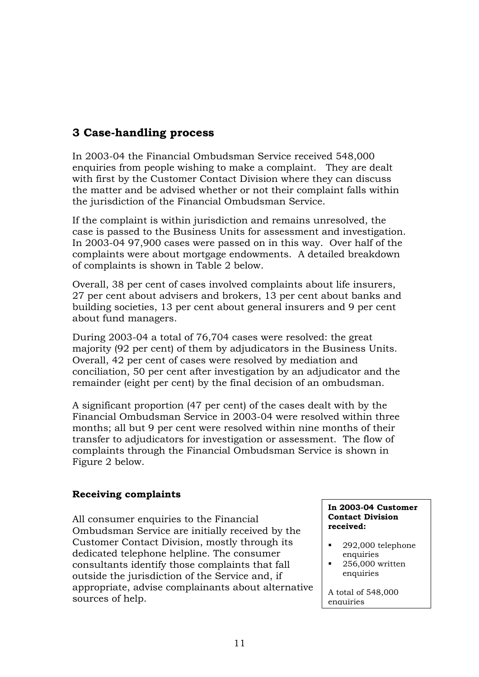## <span id="page-14-0"></span>**3 Case-handling process**

In 2003-04 the Financial Ombudsman Service received 548,000 enquiries from people wishing to make a complaint. They are dealt with first by the Customer Contact Division where they can discuss the matter and be advised whether or not their complaint falls within the jurisdiction of the Financial Ombudsman Service.

If the complaint is within jurisdiction and remains unresolved, the case is passed to the Business Units for assessment and investigation. In 2003-04 97,900 cases were passed on in this way. Over half of the complaints were about mortgage endowments. A detailed breakdown of complaints is shown in Table 2 below.

Overall, 38 per cent of cases involved complaints about life insurers, 27 per cent about advisers and brokers, 13 per cent about banks and building societies, 13 per cent about general insurers and 9 per cent about fund managers.

During 2003-04 a total of 76,704 cases were resolved: the great majority (92 per cent) of them by adjudicators in the Business Units. Overall, 42 per cent of cases were resolved by mediation and conciliation, 50 per cent after investigation by an adjudicator and the remainder (eight per cent) by the final decision of an ombudsman.

A significant proportion (47 per cent) of the cases dealt with by the Financial Ombudsman Service in 2003-04 were resolved within three months; all but 9 per cent were resolved within nine months of their transfer to adjudicators for investigation or assessment. The flow of complaints through the Financial Ombudsman Service is shown in Figure 2 below.

#### **Receiving complaints**

All consumer enquiries to the Financial Ombudsman Service are initially received by the Customer Contact Division, mostly through its dedicated telephone helpline. The consumer consultants identify those complaints that fall outside the jurisdiction of the Service and, if appropriate, advise complainants about alternative sources of help.

#### **In 2003-04 Customer Contact Division received:**

- - 292,000 telephone enquiries
- - 256,000 written enquiries

A total of 548,000 enquiries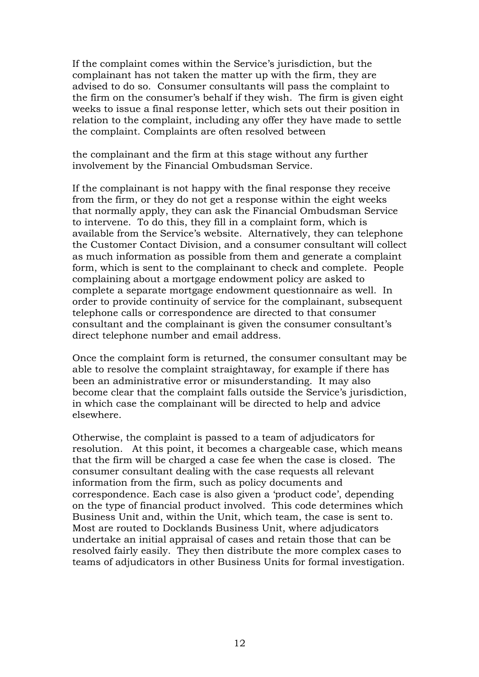If the complaint comes within the Service's jurisdiction, but the complainant has not taken the matter up with the firm, they are advised to do so. Consumer consultants will pass the complaint to the firm on the consumer's behalf if they wish. The firm is given eight weeks to issue a final response letter, which sets out their position in relation to the complaint, including any offer they have made to settle the complaint. Complaints are often resolved between

the complainant and the firm at this stage without any further involvement by the Financial Ombudsman Service.

If the complainant is not happy with the final response they receive from the firm, or they do not get a response within the eight weeks that normally apply, they can ask the Financial Ombudsman Service to intervene. To do this, they fill in a complaint form, which is available from the Service's website. Alternatively, they can telephone the Customer Contact Division, and a consumer consultant will collect as much information as possible from them and generate a complaint form, which is sent to the complainant to check and complete. People complaining about a mortgage endowment policy are asked to complete a separate mortgage endowment questionnaire as well. In order to provide continuity of service for the complainant, subsequent telephone calls or correspondence are directed to that consumer consultant and the complainant is given the consumer consultant's direct telephone number and email address.

Once the complaint form is returned, the consumer consultant may be able to resolve the complaint straightaway, for example if there has been an administrative error or misunderstanding. It may also become clear that the complaint falls outside the Service's jurisdiction, in which case the complainant will be directed to help and advice elsewhere.

Otherwise, the complaint is passed to a team of adjudicators for resolution. At this point, it becomes a chargeable case, which means that the firm will be charged a case fee when the case is closed. The consumer consultant dealing with the case requests all relevant information from the firm, such as policy documents and correspondence. Each case is also given a 'product code', depending on the type of financial product involved. This code determines which Business Unit and, within the Unit, which team, the case is sent to. Most are routed to Docklands Business Unit, where adjudicators undertake an initial appraisal of cases and retain those that can be resolved fairly easily. They then distribute the more complex cases to teams of adjudicators in other Business Units for formal investigation.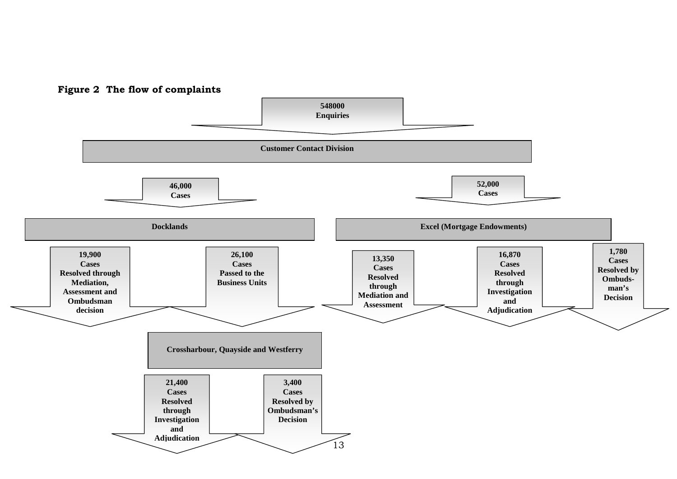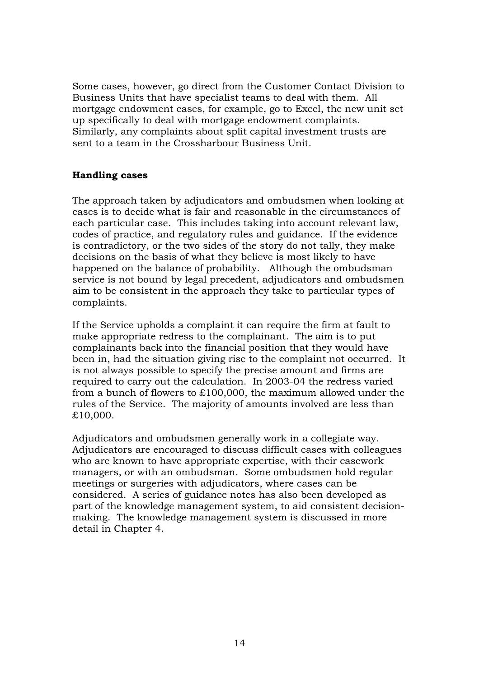Some cases, however, go direct from the Customer Contact Division to Business Units that have specialist teams to deal with them. All mortgage endowment cases, for example, go to Excel, the new unit set up specifically to deal with mortgage endowment complaints. Similarly, any complaints about split capital investment trusts are sent to a team in the Crossharbour Business Unit.

#### **Handling cases**

The approach taken by adjudicators and ombudsmen when looking at cases is to decide what is fair and reasonable in the circumstances of each particular case. This includes taking into account relevant law, codes of practice, and regulatory rules and guidance. If the evidence is contradictory, or the two sides of the story do not tally, they make decisions on the basis of what they believe is most likely to have happened on the balance of probability. Although the ombudsman service is not bound by legal precedent, adjudicators and ombudsmen aim to be consistent in the approach they take to particular types of complaints.

If the Service upholds a complaint it can require the firm at fault to make appropriate redress to the complainant. The aim is to put complainants back into the financial position that they would have been in, had the situation giving rise to the complaint not occurred. It is not always possible to specify the precise amount and firms are required to carry out the calculation. In 2003-04 the redress varied from a bunch of flowers to £100,000, the maximum allowed under the rules of the Service. The majority of amounts involved are less than £10,000.

Adjudicators and ombudsmen generally work in a collegiate way. Adjudicators are encouraged to discuss difficult cases with colleagues who are known to have appropriate expertise, with their casework managers, or with an ombudsman. Some ombudsmen hold regular meetings or surgeries with adjudicators, where cases can be considered. A series of guidance notes has also been developed as part of the knowledge management system, to aid consistent decisionmaking. The knowledge management system is discussed in more detail in Chapter 4.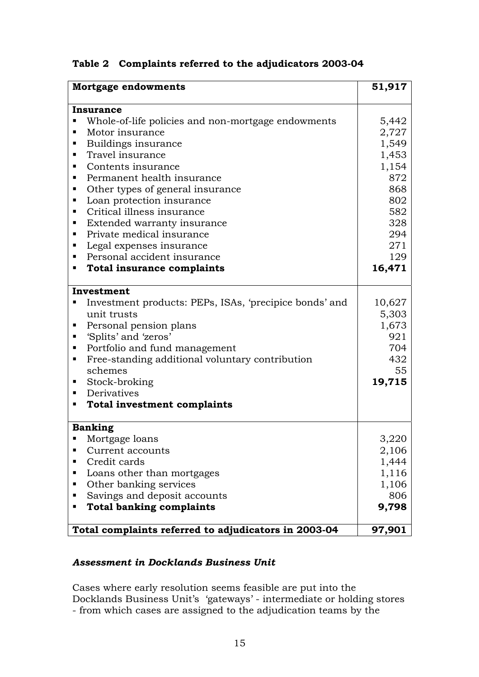|  |  |  |  | Table 2 Complaints referred to the adjudicators 2003-04 |
|--|--|--|--|---------------------------------------------------------|
|--|--|--|--|---------------------------------------------------------|

| <b>Mortgage endowments</b>                                  |        |  |
|-------------------------------------------------------------|--------|--|
| Insurance                                                   |        |  |
| Whole-of-life policies and non-mortgage endowments<br>П     | 5,442  |  |
| Motor insurance<br>٠                                        | 2,727  |  |
| Buildings insurance<br>٠                                    | 1,549  |  |
| Travel insurance<br>٠                                       | 1,453  |  |
| Contents insurance<br>٠                                     | 1,154  |  |
| Permanent health insurance<br>٠                             | 872    |  |
| Other types of general insurance<br>٠                       | 868    |  |
| Loan protection insurance<br>٠                              | 802    |  |
| Critical illness insurance<br>٠                             | 582    |  |
| Extended warranty insurance<br>٠                            | 328    |  |
| Private medical insurance<br>٠                              | 294    |  |
| Legal expenses insurance<br>٠                               | 271    |  |
| Personal accident insurance<br>٠                            | 129    |  |
| <b>Total insurance complaints</b><br>٠                      | 16,471 |  |
| Investment                                                  |        |  |
| Investment products: PEPs, ISAs, 'precipice bonds' and<br>٠ | 10,627 |  |
| unit trusts                                                 | 5,303  |  |
| Personal pension plans<br>٠                                 | 1,673  |  |
| 'Splits' and 'zeros'                                        | 921    |  |
| Portfolio and fund management<br>ш                          | 704    |  |
| Free-standing additional voluntary contribution<br>٠        | 432    |  |
| schemes                                                     | 55     |  |
| Stock-broking<br>٠                                          | 19,715 |  |
| Derivatives<br>٠                                            |        |  |
| <b>Total investment complaints</b><br>٠                     |        |  |
| <b>Banking</b>                                              |        |  |
| $\blacksquare$ Mortgage loans                               | 3,220  |  |
| Current accounts<br>п                                       | 2,106  |  |
| Credit cards<br>٠                                           | 1,444  |  |
| Loans other than mortgages<br>ш                             | 1,116  |  |
| Other banking services<br>٠                                 | 1,106  |  |
| Savings and deposit accounts<br>٠                           | 806    |  |
| <b>Total banking complaints</b><br>ш                        | 9,798  |  |
| Total complaints referred to adjudicators in 2003-04        | 97,901 |  |

### *Assessment in Docklands Business Unit*

Cases where early resolution seems feasible are put into the Docklands Business Unit's 'gateways' - intermediate or holding stores - from which cases are assigned to the adjudication teams by the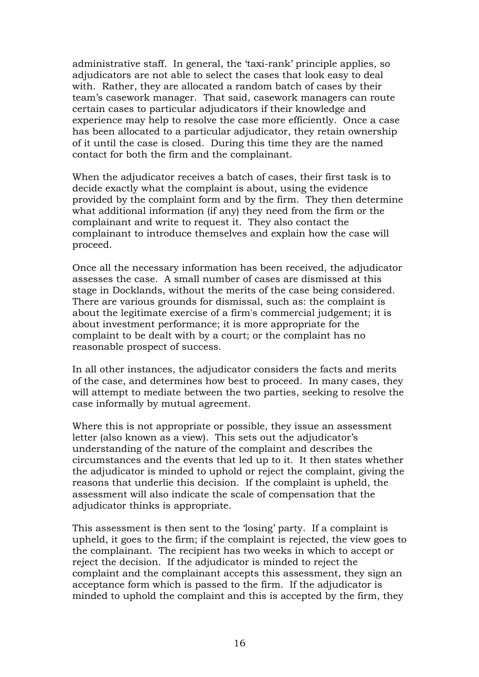administrative staff. In general, the 'taxi-rank' principle applies, so adjudicators are not able to select the cases that look easy to deal with. Rather, they are allocated a random batch of cases by their team's casework manager. That said, casework managers can route certain cases to particular adjudicators if their knowledge and experience may help to resolve the case more efficiently. Once a case has been allocated to a particular adjudicator, they retain ownership of it until the case is closed. During this time they are the named contact for both the firm and the complainant.

When the adjudicator receives a batch of cases, their first task is to decide exactly what the complaint is about, using the evidence provided by the complaint form and by the firm. They then determine what additional information (if any) they need from the firm or the complainant and write to request it. They also contact the complainant to introduce themselves and explain how the case will proceed.

Once all the necessary information has been received, the adjudicator assesses the case. A small number of cases are dismissed at this stage in Docklands, without the merits of the case being considered. There are various grounds for dismissal, such as: the complaint is about the legitimate exercise of a firm's commercial judgement; it is about investment performance; it is more appropriate for the complaint to be dealt with by a court; or the complaint has no reasonable prospect of success.

In all other instances, the adjudicator considers the facts and merits of the case, and determines how best to proceed. In many cases, they will attempt to mediate between the two parties, seeking to resolve the case informally by mutual agreement.

Where this is not appropriate or possible, they issue an assessment letter (also known as a view). This sets out the adjudicator's understanding of the nature of the complaint and describes the circumstances and the events that led up to it. It then states whether the adjudicator is minded to uphold or reject the complaint, giving the reasons that underlie this decision. If the complaint is upheld, the assessment will also indicate the scale of compensation that the adjudicator thinks is appropriate.

This assessment is then sent to the 'losing' party. If a complaint is upheld, it goes to the firm; if the complaint is rejected, the view goes to the complainant. The recipient has two weeks in which to accept or reject the decision. If the adjudicator is minded to reject the complaint and the complainant accepts this assessment, they sign an acceptance form which is passed to the firm. If the adjudicator is minded to uphold the complaint and this is accepted by the firm, they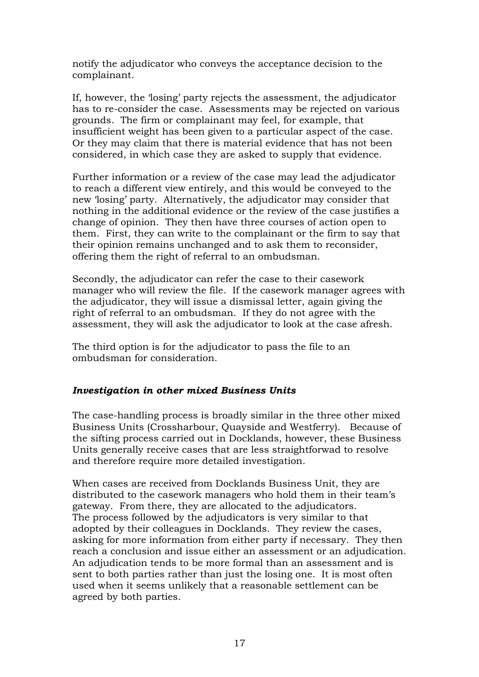notify the adjudicator who conveys the acceptance decision to the complainant.

If, however, the 'losing' party rejects the assessment, the adjudicator has to re-consider the case. Assessments may be rejected on various grounds. The firm or complainant may feel, for example, that insufficient weight has been given to a particular aspect of the case. Or they may claim that there is material evidence that has not been considered, in which case they are asked to supply that evidence.

Further information or a review of the case may lead the adjudicator to reach a different view entirely, and this would be conveyed to the new 'losing' party. Alternatively, the adjudicator may consider that nothing in the additional evidence or the review of the case justifies a change of opinion. They then have three courses of action open to them. First, they can write to the complainant or the firm to say that their opinion remains unchanged and to ask them to reconsider, offering them the right of referral to an ombudsman.

Secondly, the adjudicator can refer the case to their casework manager who will review the file. If the casework manager agrees with the adjudicator, they will issue a dismissal letter, again giving the right of referral to an ombudsman. If they do not agree with the assessment, they will ask the adjudicator to look at the case afresh.

The third option is for the adjudicator to pass the file to an ombudsman for consideration.

### *Investigation in other mixed Business Units*

The case-handling process is broadly similar in the three other mixed Business Units (Crossharbour, Quayside and Westferry). Because of the sifting process carried out in Docklands, however, these Business Units generally receive cases that are less straightforwad to resolve and therefore require more detailed investigation.

When cases are received from Docklands Business Unit, they are distributed to the casework managers who hold them in their team's gateway. From there, they are allocated to the adjudicators. The process followed by the adjudicators is very similar to that adopted by their colleagues in Docklands. They review the cases, asking for more information from either party if necessary. They then reach a conclusion and issue either an assessment or an adjudication. An adjudication tends to be more formal than an assessment and is sent to both parties rather than just the losing one. It is most often used when it seems unlikely that a reasonable settlement can be agreed by both parties.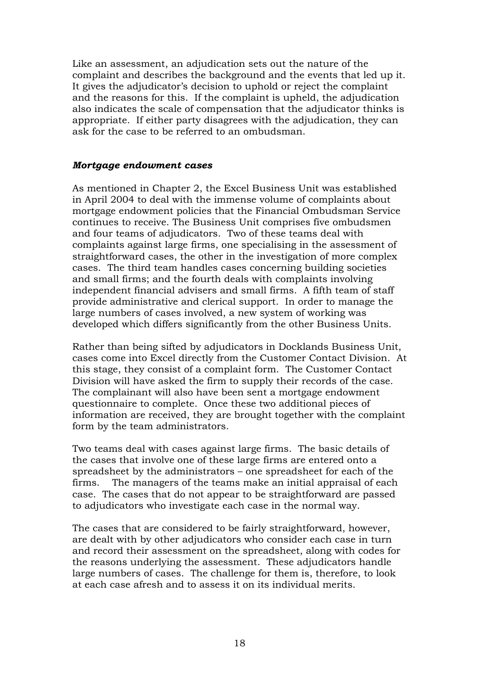Like an assessment, an adjudication sets out the nature of the complaint and describes the background and the events that led up it. It gives the adjudicator's decision to uphold or reject the complaint and the reasons for this. If the complaint is upheld, the adjudication also indicates the scale of compensation that the adjudicator thinks is appropriate. If either party disagrees with the adjudication, they can ask for the case to be referred to an ombudsman.

#### *Mortgage endowment cases*

As mentioned in Chapter 2, the Excel Business Unit was established in April 2004 to deal with the immense volume of complaints about mortgage endowment policies that the Financial Ombudsman Service continues to receive. The Business Unit comprises five ombudsmen and four teams of adjudicators. Two of these teams deal with complaints against large firms, one specialising in the assessment of straightforward cases, the other in the investigation of more complex cases. The third team handles cases concerning building societies and small firms; and the fourth deals with complaints involving independent financial advisers and small firms. A fifth team of staff provide administrative and clerical support. In order to manage the large numbers of cases involved, a new system of working was developed which differs significantly from the other Business Units.

Rather than being sifted by adjudicators in Docklands Business Unit, cases come into Excel directly from the Customer Contact Division. At this stage, they consist of a complaint form. The Customer Contact Division will have asked the firm to supply their records of the case. The complainant will also have been sent a mortgage endowment questionnaire to complete. Once these two additional pieces of information are received, they are brought together with the complaint form by the team administrators.

Two teams deal with cases against large firms. The basic details of the cases that involve one of these large firms are entered onto a spreadsheet by the administrators – one spreadsheet for each of the firms. The managers of the teams make an initial appraisal of each case. The cases that do not appear to be straightforward are passed to adjudicators who investigate each case in the normal way.

The cases that are considered to be fairly straightforward, however, are dealt with by other adjudicators who consider each case in turn and record their assessment on the spreadsheet, along with codes for the reasons underlying the assessment. These adjudicators handle large numbers of cases. The challenge for them is, therefore, to look at each case afresh and to assess it on its individual merits.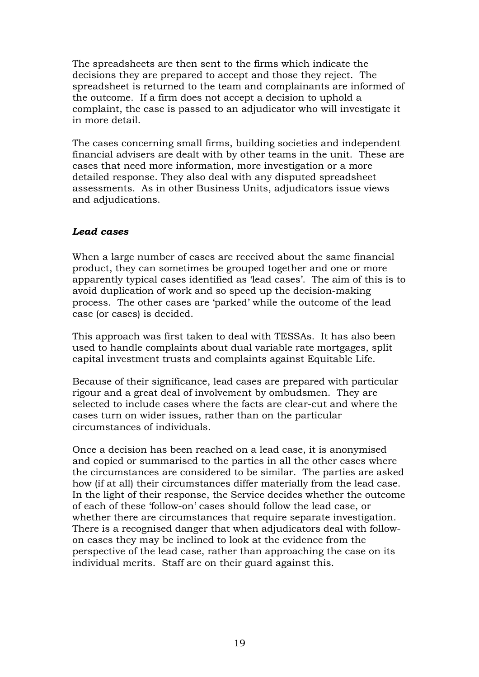The spreadsheets are then sent to the firms which indicate the decisions they are prepared to accept and those they reject. The spreadsheet is returned to the team and complainants are informed of the outcome. If a firm does not accept a decision to uphold a complaint, the case is passed to an adjudicator who will investigate it in more detail.

The cases concerning small firms, building societies and independent financial advisers are dealt with by other teams in the unit. These are cases that need more information, more investigation or a more detailed response. They also deal with any disputed spreadsheet assessments. As in other Business Units, adjudicators issue views and adjudications.

#### *Lead cases*

When a large number of cases are received about the same financial product, they can sometimes be grouped together and one or more apparently typical cases identified as 'lead cases'. The aim of this is to avoid duplication of work and so speed up the decision-making process. The other cases are 'parked' while the outcome of the lead case (or cases) is decided.

This approach was first taken to deal with TESSAs. It has also been used to handle complaints about dual variable rate mortgages, split capital investment trusts and complaints against Equitable Life.

Because of their significance, lead cases are prepared with particular rigour and a great deal of involvement by ombudsmen. They are selected to include cases where the facts are clear-cut and where the cases turn on wider issues, rather than on the particular circumstances of individuals.

Once a decision has been reached on a lead case, it is anonymised and copied or summarised to the parties in all the other cases where the circumstances are considered to be similar. The parties are asked how (if at all) their circumstances differ materially from the lead case. In the light of their response, the Service decides whether the outcome of each of these 'follow-on' cases should follow the lead case, or whether there are circumstances that require separate investigation. There is a recognised danger that when adjudicators deal with followon cases they may be inclined to look at the evidence from the perspective of the lead case, rather than approaching the case on its individual merits. Staff are on their guard against this.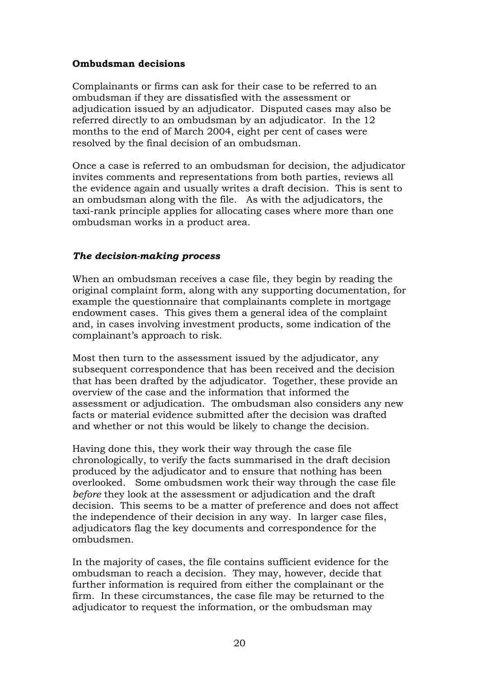#### **Ombudsman decisions**

Complainants or firms can ask for their case to be referred to an ombudsman if they are dissatisfied with the assessment or adjudication issued by an adjudicator.Disputed cases may also be referred directly to an ombudsman by an adjudicator. In the 12 months to the end of March 2004, eight per cent of cases were resolved by the final decision of an ombudsman.

Once a case is referred to an ombudsman for decision, the adjudicator invites comments and representations from both parties, reviews all the evidence again and usually writes a draft decision. This is sent to an ombudsman along with the file. As with the adjudicators, the taxi-rank principle applies for allocating cases where more than one ombudsman works in a product area.

#### *The decision-making process*

When an ombudsman receives a case file, they begin by reading the original complaint form, along with any supporting documentation, for example the questionnaire that complainants complete in mortgage endowment cases. This gives them a general idea of the complaint and, in cases involving investment products, some indication of the complainant's approach to risk.

Most then turn to the assessment issued by the adjudicator, any subsequent correspondence that has been received and the decision that has been drafted by the adjudicator. Together, these provide an overview of the case and the information that informed the assessment or adjudication. The ombudsman also considers any new facts or material evidence submitted after the decision was drafted and whether or not this would be likely to change the decision.

Having done this, they work their way through the case file chronologically, to verify the facts summarised in the draft decision produced by the adjudicator and to ensure that nothing has been overlooked. Some ombudsmen work their way through the case file *before* they look at the assessment or adjudication and the draft decision. This seems to be a matter of preference and does not affect the independence of their decision in any way. In larger case files, adjudicators flag the key documents and correspondence for the ombudsmen.

In the majority of cases, the file contains sufficient evidence for the ombudsman to reach a decision. They may, however, decide that further information is required from either the complainant or the firm. In these circumstances, the case file may be returned to the adjudicator to request the information, or the ombudsman may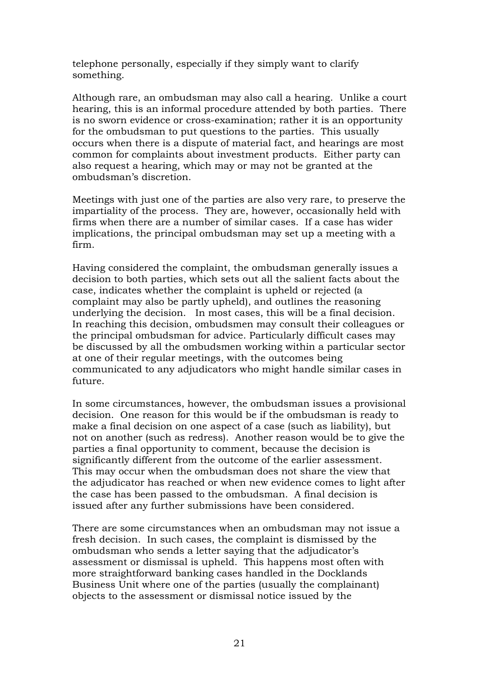telephone personally, especially if they simply want to clarify something.

Although rare, an ombudsman may also call a hearing. Unlike a court hearing, this is an informal procedure attended by both parties. There is no sworn evidence or cross-examination; rather it is an opportunity for the ombudsman to put questions to the parties. This usually occurs when there is a dispute of material fact, and hearings are most common for complaints about investment products. Either party can also request a hearing, which may or may not be granted at the ombudsman's discretion.

Meetings with just one of the parties are also very rare, to preserve the impartiality of the process. They are, however, occasionally held with firms when there are a number of similar cases. If a case has wider implications, the principal ombudsman may set up a meeting with a firm.

Having considered the complaint, the ombudsman generally issues a decision to both parties, which sets out all the salient facts about the case, indicates whether the complaint is upheld or rejected (a complaint may also be partly upheld), and outlines the reasoning underlying the decision. In most cases, this will be a final decision. In reaching this decision, ombudsmen may consult their colleagues or the principal ombudsman for advice. Particularly difficult cases may be discussed by all the ombudsmen working within a particular sector at one of their regular meetings, with the outcomes being communicated to any adjudicators who might handle similar cases in future.

In some circumstances, however, the ombudsman issues a provisional decision. One reason for this would be if the ombudsman is ready to make a final decision on one aspect of a case (such as liability), but not on another (such as redress). Another reason would be to give the parties a final opportunity to comment, because the decision is significantly different from the outcome of the earlier assessment. This may occur when the ombudsman does not share the view that the adjudicator has reached or when new evidence comes to light after the case has been passed to the ombudsman. A final decision is issued after any further submissions have been considered.

There are some circumstances when an ombudsman may not issue a fresh decision. In such cases, the complaint is dismissed by the ombudsman who sends a letter saying that the adjudicator's assessment or dismissal is upheld. This happens most often with more straightforward banking cases handled in the Docklands Business Unit where one of the parties (usually the complainant) objects to the assessment or dismissal notice issued by the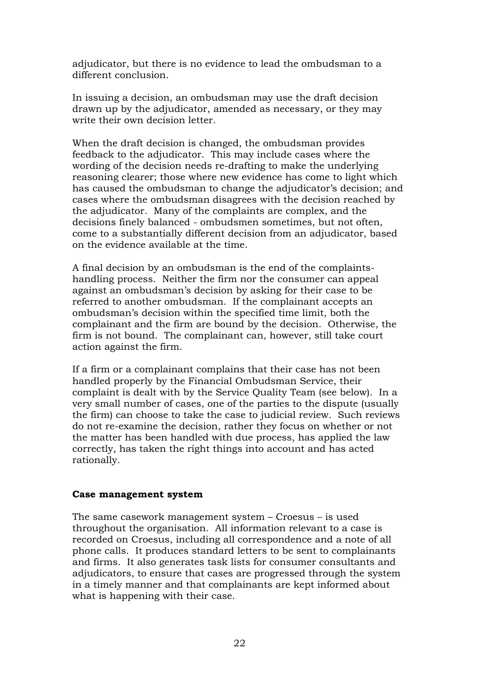adjudicator, but there is no evidence to lead the ombudsman to a different conclusion.

In issuing a decision, an ombudsman may use the draft decision drawn up by the adjudicator, amended as necessary, or they may write their own decision letter.

When the draft decision is changed, the ombudsman provides feedback to the adjudicator. This may include cases where the wording of the decision needs re-drafting to make the underlying reasoning clearer; those where new evidence has come to light which has caused the ombudsman to change the adjudicator's decision; and cases where the ombudsman disagrees with the decision reached by the adjudicator. Many of the complaints are complex, and the decisions finely balanced - ombudsmen sometimes, but not often, come to a substantially different decision from an adjudicator, based on the evidence available at the time.

A final decision by an ombudsman is the end of the complaintshandling process. Neither the firm nor the consumer can appeal against an ombudsman's decision by asking for their case to be referred to another ombudsman. If the complainant accepts an ombudsman's decision within the specified time limit, both the complainant and the firm are bound by the decision. Otherwise, the firm is not bound. The complainant can, however, still take court action against the firm.

If a firm or a complainant complains that their case has not been handled properly by the Financial Ombudsman Service, their complaint is dealt with by the Service Quality Team (see below). In a very small number of cases, one of the parties to the dispute (usually the firm) can choose to take the case to judicial review. Such reviews do not re-examine the decision, rather they focus on whether or not the matter has been handled with due process, has applied the law correctly, has taken the right things into account and has acted rationally.

#### **Case management system**

The same casework management system – Croesus – is used throughout the organisation. All information relevant to a case is recorded on Croesus, including all correspondence and a note of all phone calls. It produces standard letters to be sent to complainants and firms. It also generates task lists for consumer consultants and adjudicators, to ensure that cases are progressed through the system in a timely manner and that complainants are kept informed about what is happening with their case.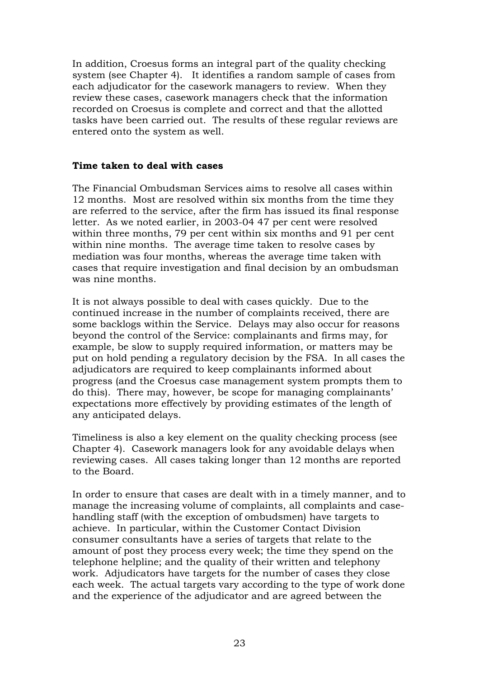In addition, Croesus forms an integral part of the quality checking system (see Chapter 4). It identifies a random sample of cases from each adjudicator for the casework managers to review. When they review these cases, casework managers check that the information recorded on Croesus is complete and correct and that the allotted tasks have been carried out. The results of these regular reviews are entered onto the system as well.

#### **Time taken to deal with cases**

The Financial Ombudsman Services aims to resolve all cases within 12 months. Most are resolved within six months from the time they are referred to the service, after the firm has issued its final response letter. As we noted earlier, in 2003-04 47 per cent were resolved within three months, 79 per cent within six months and 91 per cent within nine months. The average time taken to resolve cases by mediation was four months, whereas the average time taken with cases that require investigation and final decision by an ombudsman was nine months.

It is not always possible to deal with cases quickly. Due to the continued increase in the number of complaints received, there are some backlogs within the Service. Delays may also occur for reasons beyond the control of the Service: complainants and firms may, for example, be slow to supply required information, or matters may be put on hold pending a regulatory decision by the FSA. In all cases the adjudicators are required to keep complainants informed about progress (and the Croesus case management system prompts them to do this). There may, however, be scope for managing complainants' expectations more effectively by providing estimates of the length of any anticipated delays.

Timeliness is also a key element on the quality checking process (see Chapter 4). Casework managers look for any avoidable delays when reviewing cases. All cases taking longer than 12 months are reported to the Board.

In order to ensure that cases are dealt with in a timely manner, and to manage the increasing volume of complaints, all complaints and casehandling staff (with the exception of ombudsmen) have targets to achieve. In particular, within the Customer Contact Division consumer consultants have a series of targets that relate to the amount of post they process every week; the time they spend on the telephone helpline; and the quality of their written and telephony work. Adjudicators have targets for the number of cases they close each week. The actual targets vary according to the type of work done and the experience of the adjudicator and are agreed between the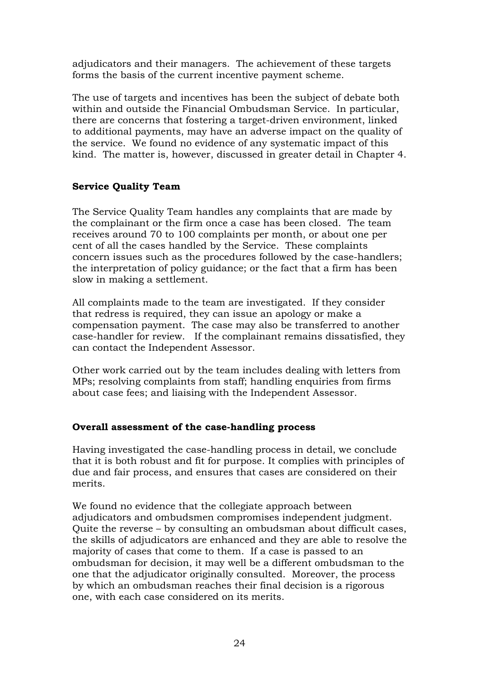adjudicators and their managers. The achievement of these targets forms the basis of the current incentive payment scheme.

The use of targets and incentives has been the subject of debate both within and outside the Financial Ombudsman Service. In particular, there are concerns that fostering a target-driven environment, linked to additional payments, may have an adverse impact on the quality of the service. We found no evidence of any systematic impact of this kind. The matter is, however, discussed in greater detail in Chapter 4.

#### **Service Quality Team**

The Service Quality Team handles any complaints that are made by the complainant or the firm once a case has been closed. The team receives around 70 to 100 complaints per month, or about one per cent of all the cases handled by the Service. These complaints concern issues such as the procedures followed by the case-handlers; the interpretation of policy guidance; or the fact that a firm has been slow in making a settlement.

All complaints made to the team are investigated. If they consider that redress is required, they can issue an apology or make a compensation payment. The case may also be transferred to another case-handler for review. If the complainant remains dissatisfied, they can contact the Independent Assessor.

Other work carried out by the team includes dealing with letters from MPs; resolving complaints from staff; handling enquiries from firms about case fees; and liaising with the Independent Assessor.

### **Overall assessment of the case-handling process**

Having investigated the case-handling process in detail, we conclude that it is both robust and fit for purpose. It complies with principles of due and fair process, and ensures that cases are considered on their merits.

We found no evidence that the collegiate approach between adjudicators and ombudsmen compromises independent judgment. Quite the reverse – by consulting an ombudsman about difficult cases, the skills of adjudicators are enhanced and they are able to resolve the majority of cases that come to them. If a case is passed to an ombudsman for decision, it may well be a different ombudsman to the one that the adjudicator originally consulted. Moreover, the process by which an ombudsman reaches their final decision is a rigorous one, with each case considered on its merits.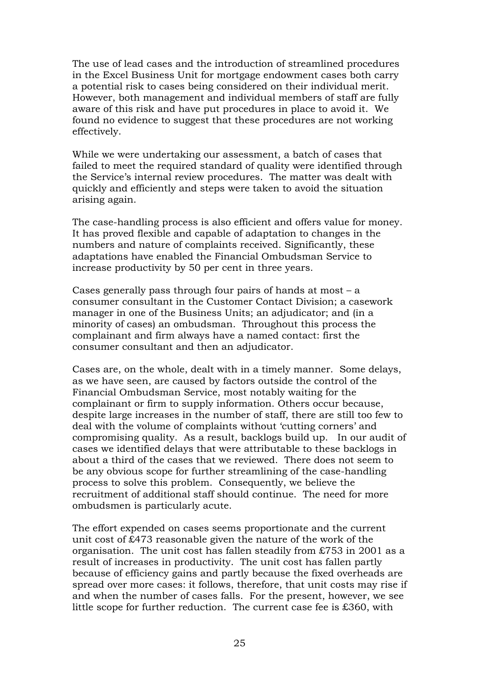The use of lead cases and the introduction of streamlined procedures in the Excel Business Unit for mortgage endowment cases both carry a potential risk to cases being considered on their individual merit. However, both management and individual members of staff are fully aware of this risk and have put procedures in place to avoid it. We found no evidence to suggest that these procedures are not working effectively.

While we were undertaking our assessment, a batch of cases that failed to meet the required standard of quality were identified through the Service's internal review procedures. The matter was dealt with quickly and efficiently and steps were taken to avoid the situation arising again.

The case-handling process is also efficient and offers value for money. It has proved flexible and capable of adaptation to changes in the numbers and nature of complaints received. Significantly, these adaptations have enabled the Financial Ombudsman Service to increase productivity by 50 per cent in three years.

Cases generally pass through four pairs of hands at most – a consumer consultant in the Customer Contact Division; a casework manager in one of the Business Units; an adjudicator; and (in a minority of cases) an ombudsman. Throughout this process the complainant and firm always have a named contact: first the consumer consultant and then an adjudicator.

Cases are, on the whole, dealt with in a timely manner. Some delays, as we have seen, are caused by factors outside the control of the Financial Ombudsman Service, most notably waiting for the complainant or firm to supply information. Others occur because, despite large increases in the number of staff, there are still too few to deal with the volume of complaints without 'cutting corners' and compromising quality. As a result, backlogs build up. In our audit of cases we identified delays that were attributable to these backlogs in about a third of the cases that we reviewed. There does not seem to be any obvious scope for further streamlining of the case-handling process to solve this problem. Consequently, we believe the recruitment of additional staff should continue. The need for more ombudsmen is particularly acute.

The effort expended on cases seems proportionate and the current unit cost of £473 reasonable given the nature of the work of the organisation. The unit cost has fallen steadily from £753 in 2001 as a result of increases in productivity. The unit cost has fallen partly because of efficiency gains and partly because the fixed overheads are spread over more cases: it follows, therefore, that unit costs may rise if and when the number of cases falls. For the present, however, we see little scope for further reduction. The current case fee is £360, with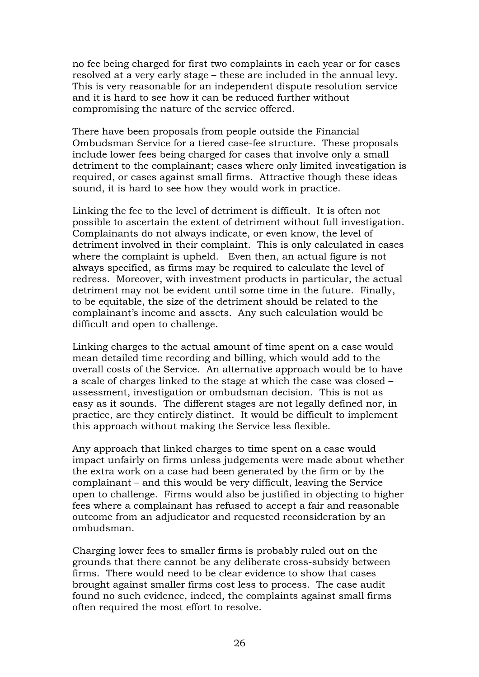no fee being charged for first two complaints in each year or for cases resolved at a very early stage – these are included in the annual levy. This is very reasonable for an independent dispute resolution service and it is hard to see how it can be reduced further without compromising the nature of the service offered.

There have been proposals from people outside the Financial Ombudsman Service for a tiered case-fee structure. These proposals include lower fees being charged for cases that involve only a small detriment to the complainant; cases where only limited investigation is required, or cases against small firms. Attractive though these ideas sound, it is hard to see how they would work in practice.

Linking the fee to the level of detriment is difficult. It is often not possible to ascertain the extent of detriment without full investigation. Complainants do not always indicate, or even know, the level of detriment involved in their complaint. This is only calculated in cases where the complaint is upheld. Even then, an actual figure is not always specified, as firms may be required to calculate the level of redress. Moreover, with investment products in particular, the actual detriment may not be evident until some time in the future. Finally, to be equitable, the size of the detriment should be related to the complainant's income and assets. Any such calculation would be difficult and open to challenge.

Linking charges to the actual amount of time spent on a case would mean detailed time recording and billing, which would add to the overall costs of the Service. An alternative approach would be to have a scale of charges linked to the stage at which the case was closed – assessment, investigation or ombudsman decision. This is not as easy as it sounds. The different stages are not legally defined nor, in practice, are they entirely distinct. It would be difficult to implement this approach without making the Service less flexible.

Any approach that linked charges to time spent on a case would impact unfairly on firms unless judgements were made about whether the extra work on a case had been generated by the firm or by the complainant – and this would be very difficult, leaving the Service open to challenge. Firms would also be justified in objecting to higher fees where a complainant has refused to accept a fair and reasonable outcome from an adjudicator and requested reconsideration by an ombudsman.

Charging lower fees to smaller firms is probably ruled out on the grounds that there cannot be any deliberate cross-subsidy between firms. There would need to be clear evidence to show that cases brought against smaller firms cost less to process. The case audit found no such evidence, indeed, the complaints against small firms often required the most effort to resolve.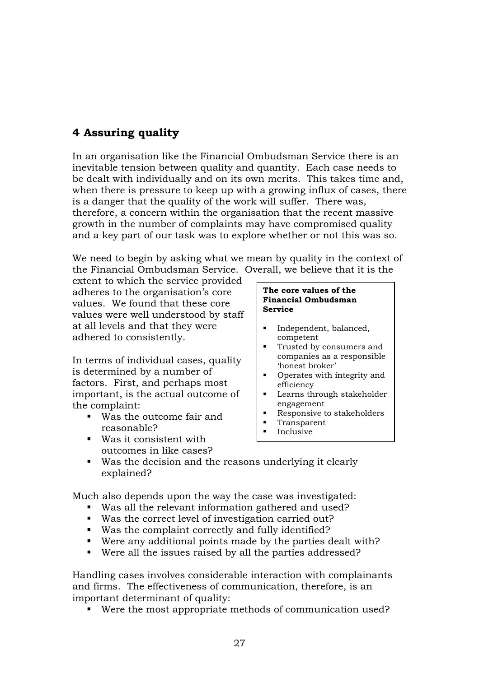## <span id="page-30-0"></span>**4 Assuring quality**

In an organisation like the Financial Ombudsman Service there is an inevitable tension between quality and quantity. Each case needs to be dealt with individually and on its own merits. This takes time and, when there is pressure to keep up with a growing influx of cases, there is a danger that the quality of the work will suffer. There was, therefore, a concern within the organisation that the recent massive growth in the number of complaints may have compromised quality and a key part of our task was to explore whether or not this was so.

We need to begin by asking what we mean by quality in the context of the Financial Ombudsman Service. Overall, we believe that it is the

extent to which the service provided adheres to the organisation's core values. We found that these core values were well understood by staff at all levels and that they were adhered to consistently.

In terms of individual cases, quality is determined by a number of factors. First, and perhaps most important, is the actual outcome of the complaint:

- -Was the outcome fair and reasonable?
- -Was it consistent with outcomes in like cases?

#### **The core values of the Financial Ombudsman Service**

- - Independent, balanced, competent
- - Trusted by consumers and companies as a responsible 'honest broker'
- - Operates with integrity and efficiency
- - Learns through stakeholder engagement
- -Responsive to stakeholders
- -Transparent
- -Inclusive
- -Was the decision and the reasons underlying it clearly explained?

Much also depends upon the way the case was investigated:

- -Was all the relevant information gathered and used?
- -Was the correct level of investigation carried out?
- -Was the complaint correctly and fully identified?
- -Were any additional points made by the parties dealt with?
- -Were all the issues raised by all the parties addressed?

Handling cases involves considerable interaction with complainants and firms. The effectiveness of communication, therefore, is an important determinant of quality:

■ Were the most appropriate methods of communication used?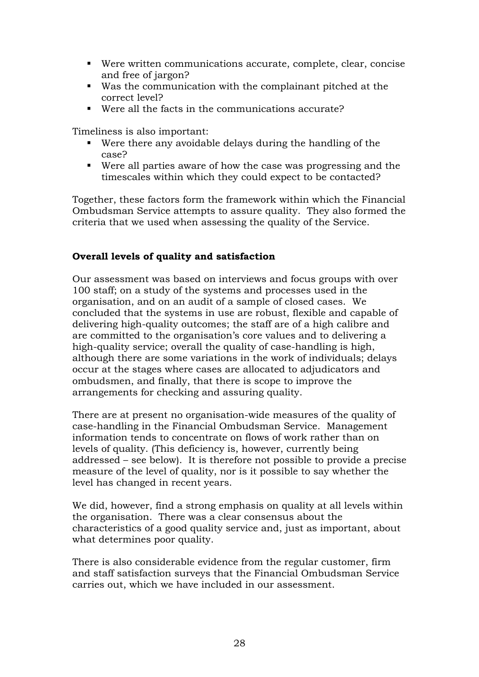- -Were written communications accurate, complete, clear, concise and free of jargon?
- -Was the communication with the complainant pitched at the correct level?
- -Were all the facts in the communications accurate?

Timeliness is also important:

- -Were there any avoidable delays during the handling of the case?
- -Were all parties aware of how the case was progressing and the timescales within which they could expect to be contacted?

Together, these factors form the framework within which the Financial Ombudsman Service attempts to assure quality. They also formed the criteria that we used when assessing the quality of the Service.

#### **Overall levels of quality and satisfaction**

Our assessment was based on interviews and focus groups with over 100 staff; on a study of the systems and processes used in the organisation, and on an audit of a sample of closed cases. We concluded that the systems in use are robust, flexible and capable of delivering high-quality outcomes; the staff are of a high calibre and are committed to the organisation's core values and to delivering a high-quality service; overall the quality of case-handling is high, although there are some variations in the work of individuals; delays occur at the stages where cases are allocated to adjudicators and ombudsmen, and finally, that there is scope to improve the arrangements for checking and assuring quality.

There are at present no organisation-wide measures of the quality of case-handling in the Financial Ombudsman Service. Management information tends to concentrate on flows of work rather than on levels of quality. (This deficiency is, however, currently being addressed – see below). It is therefore not possible to provide a precise measure of the level of quality, nor is it possible to say whether the level has changed in recent years.

We did, however, find a strong emphasis on quality at all levels within the organisation. There was a clear consensus about the characteristics of a good quality service and, just as important, about what determines poor quality.

There is also considerable evidence from the regular customer, firm and staff satisfaction surveys that the Financial Ombudsman Service carries out, which we have included in our assessment.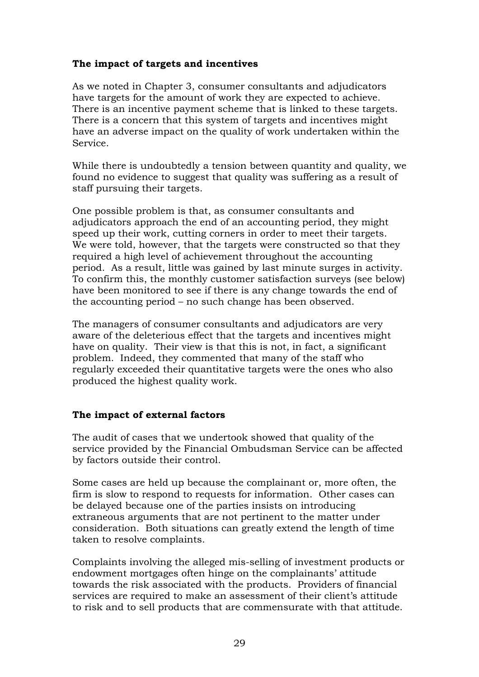### **The impact of targets and incentives**

As we noted in Chapter 3, consumer consultants and adjudicators have targets for the amount of work they are expected to achieve. There is an incentive payment scheme that is linked to these targets. There is a concern that this system of targets and incentives might have an adverse impact on the quality of work undertaken within the Service.

While there is undoubtedly a tension between quantity and quality, we found no evidence to suggest that quality was suffering as a result of staff pursuing their targets.

One possible problem is that, as consumer consultants and adjudicators approach the end of an accounting period, they might speed up their work, cutting corners in order to meet their targets. We were told, however, that the targets were constructed so that they required a high level of achievement throughout the accounting period. As a result, little was gained by last minute surges in activity. To confirm this, the monthly customer satisfaction surveys (see below) have been monitored to see if there is any change towards the end of the accounting period – no such change has been observed.

The managers of consumer consultants and adjudicators are very aware of the deleterious effect that the targets and incentives might have on quality. Their view is that this is not, in fact, a significant problem. Indeed, they commented that many of the staff who regularly exceeded their quantitative targets were the ones who also produced the highest quality work.

#### **The impact of external factors**

The audit of cases that we undertook showed that quality of the service provided by the Financial Ombudsman Service can be affected by factors outside their control.

Some cases are held up because the complainant or, more often, the firm is slow to respond to requests for information. Other cases can be delayed because one of the parties insists on introducing extraneous arguments that are not pertinent to the matter under consideration. Both situations can greatly extend the length of time taken to resolve complaints.

Complaints involving the alleged mis-selling of investment products or endowment mortgages often hinge on the complainants' attitude towards the risk associated with the products. Providers of financial services are required to make an assessment of their client's attitude to risk and to sell products that are commensurate with that attitude.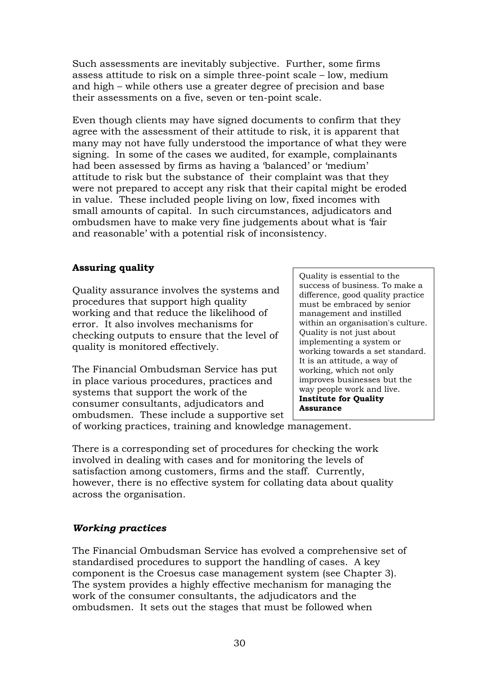Such assessments are inevitably subjective. Further, some firms assess attitude to risk on a simple three-point scale – low, medium and high – while others use a greater degree of precision and base their assessments on a five, seven or ten-point scale.

Even though clients may have signed documents to confirm that they agree with the assessment of their attitude to risk, it is apparent that many may not have fully understood the importance of what they were signing. In some of the cases we audited, for example, complainants had been assessed by firms as having a 'balanced' or 'medium' attitude to risk but the substance of their complaint was that they were not prepared to accept any risk that their capital might be eroded in value. These included people living on low, fixed incomes with small amounts of capital. In such circumstances, adjudicators and ombudsmen have to make very fine judgements about what is 'fair and reasonable' with a potential risk of inconsistency.

### **Assuring quality**

Quality assurance involves the systems and procedures that support high quality working and that reduce the likelihood of error. It also involves mechanisms for checking outputs to ensure that the level of quality is monitored effectively.

The Financial Ombudsman Service has put in place various procedures, practices and systems that support the work of the consumer consultants, adjudicators and ombudsmen. These include a supportive set

Quality is essential to the success of business. To make a difference, good quality practice must be embraced by senior management and instilled within an organisation's culture. Quality is not just about implementing a system or working towards a set standard. It is an attitude, a way of working, which not only improves businesses but the way people work and live. **Institute for Quality Assurance** 

of working practices, training and knowledge management.

There is a corresponding set of procedures for checking the work involved in dealing with cases and for monitoring the levels of satisfaction among customers, firms and the staff. Currently, however, there is no effective system for collating data about quality across the organisation.

#### *Working practices*

The Financial Ombudsman Service has evolved a comprehensive set of standardised procedures to support the handling of cases. A key component is the Croesus case management system (see Chapter 3). The system provides a highly effective mechanism for managing the work of the consumer consultants, the adjudicators and the ombudsmen. It sets out the stages that must be followed when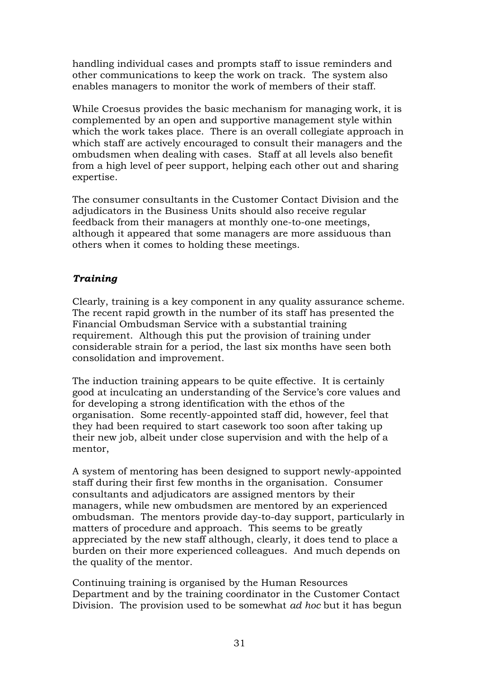handling individual cases and prompts staff to issue reminders and other communications to keep the work on track. The system also enables managers to monitor the work of members of their staff.

While Croesus provides the basic mechanism for managing work, it is complemented by an open and supportive management style within which the work takes place. There is an overall collegiate approach in which staff are actively encouraged to consult their managers and the ombudsmen when dealing with cases. Staff at all levels also benefit from a high level of peer support, helping each other out and sharing expertise.

The consumer consultants in the Customer Contact Division and the adjudicators in the Business Units should also receive regular feedback from their managers at monthly one-to-one meetings, although it appeared that some managers are more assiduous than others when it comes to holding these meetings.

### *Training*

Clearly, training is a key component in any quality assurance scheme. The recent rapid growth in the number of its staff has presented the Financial Ombudsman Service with a substantial training requirement. Although this put the provision of training under considerable strain for a period, the last six months have seen both consolidation and improvement.

The induction training appears to be quite effective. It is certainly good at inculcating an understanding of the Service's core values and for developing a strong identification with the ethos of the organisation. Some recently-appointed staff did, however, feel that they had been required to start casework too soon after taking up their new job, albeit under close supervision and with the help of a mentor,

A system of mentoring has been designed to support newly-appointed staff during their first few months in the organisation. Consumer consultants and adjudicators are assigned mentors by their managers, while new ombudsmen are mentored by an experienced ombudsman. The mentors provide day-to-day support, particularly in matters of procedure and approach. This seems to be greatly appreciated by the new staff although, clearly, it does tend to place a burden on their more experienced colleagues. And much depends on the quality of the mentor.

Continuing training is organised by the Human Resources Department and by the training coordinator in the Customer Contact Division. The provision used to be somewhat *ad hoc* but it has begun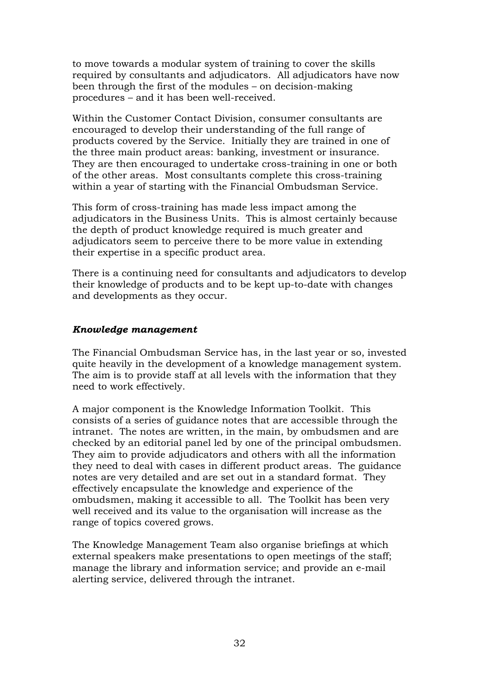to move towards a modular system of training to cover the skills required by consultants and adjudicators. All adjudicators have now been through the first of the modules – on decision-making procedures – and it has been well-received.

Within the Customer Contact Division, consumer consultants are encouraged to develop their understanding of the full range of products covered by the Service. Initially they are trained in one of the three main product areas: banking, investment or insurance. They are then encouraged to undertake cross-training in one or both of the other areas. Most consultants complete this cross-training within a year of starting with the Financial Ombudsman Service.

This form of cross-training has made less impact among the adjudicators in the Business Units. This is almost certainly because the depth of product knowledge required is much greater and adjudicators seem to perceive there to be more value in extending their expertise in a specific product area.

There is a continuing need for consultants and adjudicators to develop their knowledge of products and to be kept up-to-date with changes and developments as they occur.

#### *Knowledge management*

The Financial Ombudsman Service has, in the last year or so, invested quite heavily in the development of a knowledge management system. The aim is to provide staff at all levels with the information that they need to work effectively.

A major component is the Knowledge Information Toolkit. This consists of a series of guidance notes that are accessible through the intranet. The notes are written, in the main, by ombudsmen and are checked by an editorial panel led by one of the principal ombudsmen. They aim to provide adjudicators and others with all the information they need to deal with cases in different product areas. The guidance notes are very detailed and are set out in a standard format. They effectively encapsulate the knowledge and experience of the ombudsmen, making it accessible to all. The Toolkit has been very well received and its value to the organisation will increase as the range of topics covered grows.

The Knowledge Management Team also organise briefings at which external speakers make presentations to open meetings of the staff; manage the library and information service; and provide an e-mail alerting service, delivered through the intranet.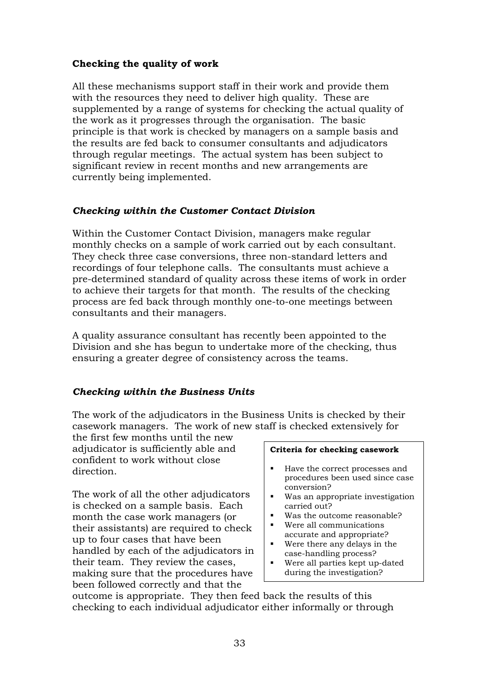### **Checking the quality of work**

All these mechanisms support staff in their work and provide them with the resources they need to deliver high quality. These are supplemented by a range of systems for checking the actual quality of the work as it progresses through the organisation. The basic principle is that work is checked by managers on a sample basis and the results are fed back to consumer consultants and adjudicators through regular meetings. The actual system has been subject to significant review in recent months and new arrangements are currently being implemented.

### *Checking within the Customer Contact Division*

Within the Customer Contact Division, managers make regular monthly checks on a sample of work carried out by each consultant. They check three case conversions, three non-standard letters and recordings of four telephone calls. The consultants must achieve a pre-determined standard of quality across these items of work in order to achieve their targets for that month. The results of the checking process are fed back through monthly one-to-one meetings between consultants and their managers.

A quality assurance consultant has recently been appointed to the Division and she has begun to undertake more of the checking, thus ensuring a greater degree of consistency across the teams.

### *Checking within the Business Units*

The work of the adjudicators in the Business Units is checked by their casework managers. The work of new staff is checked extensively for

the first few months until the new adjudicator is sufficiently able and confident to work without close direction.

The work of all the other adjudicators is checked on a sample basis. Each month the case work managers (or their assistants) are required to check up to four cases that have been handled by each of the adjudicators in their team. They review the cases, making sure that the procedures have been followed correctly and that the

#### **Criteria for checking casework**

- - Have the correct processes and procedures been used since case conversion?
- Was an appropriate investigation carried out?
- Was the outcome reasonable?
- Were all communications accurate and appropriate?
- Were there any delays in the case-handling process?
- Were all parties kept up-dated during the investigation?

outcome is appropriate. They then feed back the results of this checking to each individual adjudicator either informally or through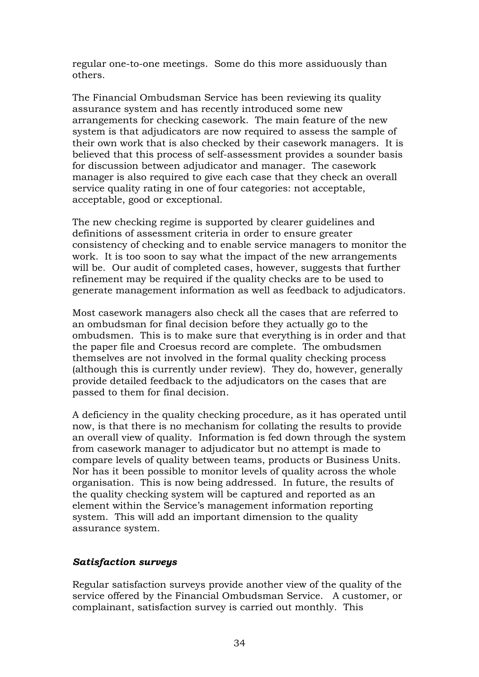regular one-to-one meetings. Some do this more assiduously than others.

The Financial Ombudsman Service has been reviewing its quality assurance system and has recently introduced some new arrangements for checking casework. The main feature of the new system is that adjudicators are now required to assess the sample of their own work that is also checked by their casework managers. It is believed that this process of self-assessment provides a sounder basis for discussion between adjudicator and manager. The casework manager is also required to give each case that they check an overall service quality rating in one of four categories: not acceptable, acceptable, good or exceptional.

The new checking regime is supported by clearer guidelines and definitions of assessment criteria in order to ensure greater consistency of checking and to enable service managers to monitor the work. It is too soon to say what the impact of the new arrangements will be. Our audit of completed cases, however, suggests that further refinement may be required if the quality checks are to be used to generate management information as well as feedback to adjudicators.

Most casework managers also check all the cases that are referred to an ombudsman for final decision before they actually go to the ombudsmen. This is to make sure that everything is in order and that the paper file and Croesus record are complete. The ombudsmen themselves are not involved in the formal quality checking process (although this is currently under review). They do, however, generally provide detailed feedback to the adjudicators on the cases that are passed to them for final decision.

A deficiency in the quality checking procedure, as it has operated until now, is that there is no mechanism for collating the results to provide an overall view of quality. Information is fed down through the system from casework manager to adjudicator but no attempt is made to compare levels of quality between teams, products or Business Units. Nor has it been possible to monitor levels of quality across the whole organisation. This is now being addressed. In future, the results of the quality checking system will be captured and reported as an element within the Service's management information reporting system. This will add an important dimension to the quality assurance system.

#### *Satisfaction surveys*

Regular satisfaction surveys provide another view of the quality of the service offered by the Financial Ombudsman Service. A customer, or complainant, satisfaction survey is carried out monthly. This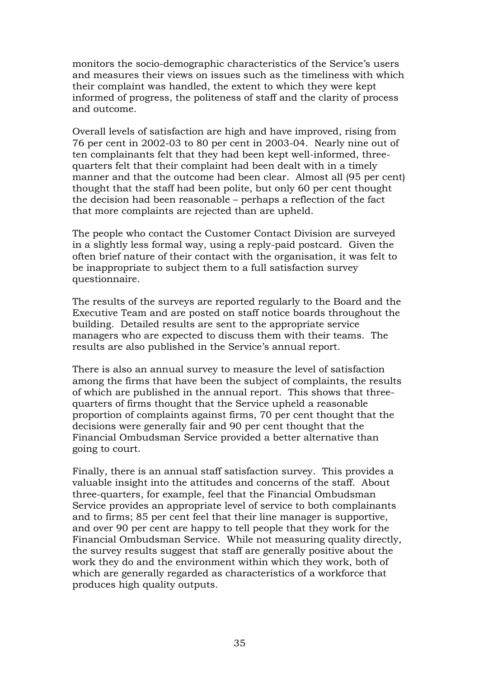monitors the socio-demographic characteristics of the Service's users and measures their views on issues such as the timeliness with which their complaint was handled, the extent to which they were kept informed of progress, the politeness of staff and the clarity of process and outcome.

Overall levels of satisfaction are high and have improved, rising from 76 per cent in 2002-03 to 80 per cent in 2003-04. Nearly nine out of ten complainants felt that they had been kept well-informed, threequarters felt that their complaint had been dealt with in a timely manner and that the outcome had been clear. Almost all (95 per cent) thought that the staff had been polite, but only 60 per cent thought the decision had been reasonable – perhaps a reflection of the fact that more complaints are rejected than are upheld.

The people who contact the Customer Contact Division are surveyed in a slightly less formal way, using a reply-paid postcard. Given the often brief nature of their contact with the organisation, it was felt to be inappropriate to subject them to a full satisfaction survey questionnaire.

The results of the surveys are reported regularly to the Board and the Executive Team and are posted on staff notice boards throughout the building. Detailed results are sent to the appropriate service managers who are expected to discuss them with their teams. The results are also published in the Service's annual report.

There is also an annual survey to measure the level of satisfaction among the firms that have been the subject of complaints, the results of which are published in the annual report. This shows that threequarters of firms thought that the Service upheld a reasonable proportion of complaints against firms, 70 per cent thought that the decisions were generally fair and 90 per cent thought that the Financial Ombudsman Service provided a better alternative than going to court.

Finally, there is an annual staff satisfaction survey. This provides a valuable insight into the attitudes and concerns of the staff. About three-quarters, for example, feel that the Financial Ombudsman Service provides an appropriate level of service to both complainants and to firms; 85 per cent feel that their line manager is supportive, and over 90 per cent are happy to tell people that they work for the Financial Ombudsman Service. While not measuring quality directly, the survey results suggest that staff are generally positive about the work they do and the environment within which they work, both of which are generally regarded as characteristics of a workforce that produces high quality outputs.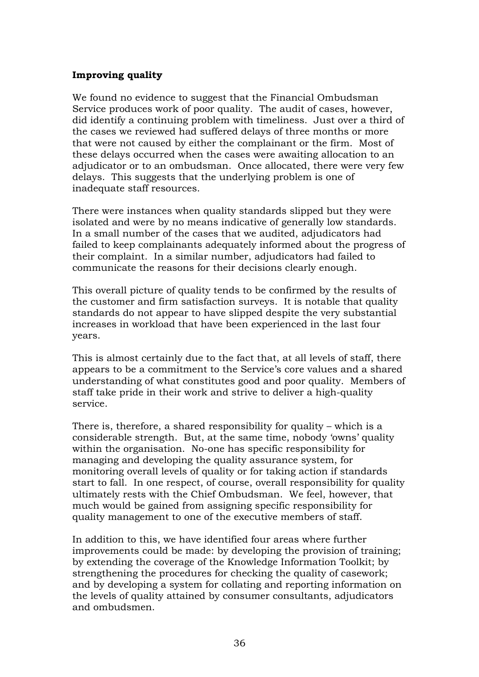#### **Improving quality**

We found no evidence to suggest that the Financial Ombudsman Service produces work of poor quality. The audit of cases, however, did identify a continuing problem with timeliness. Just over a third of the cases we reviewed had suffered delays of three months or more that were not caused by either the complainant or the firm. Most of these delays occurred when the cases were awaiting allocation to an adjudicator or to an ombudsman. Once allocated, there were very few delays. This suggests that the underlying problem is one of inadequate staff resources.

There were instances when quality standards slipped but they were isolated and were by no means indicative of generally low standards. In a small number of the cases that we audited, adjudicators had failed to keep complainants adequately informed about the progress of their complaint. In a similar number, adjudicators had failed to communicate the reasons for their decisions clearly enough.

This overall picture of quality tends to be confirmed by the results of the customer and firm satisfaction surveys. It is notable that quality standards do not appear to have slipped despite the very substantial increases in workload that have been experienced in the last four years.

This is almost certainly due to the fact that, at all levels of staff, there appears to be a commitment to the Service's core values and a shared understanding of what constitutes good and poor quality. Members of staff take pride in their work and strive to deliver a high-quality service.

There is, therefore, a shared responsibility for quality – which is a considerable strength. But, at the same time, nobody 'owns' quality within the organisation. No-one has specific responsibility for managing and developing the quality assurance system, for monitoring overall levels of quality or for taking action if standards start to fall. In one respect, of course, overall responsibility for quality ultimately rests with the Chief Ombudsman. We feel, however, that much would be gained from assigning specific responsibility for quality management to one of the executive members of staff.

In addition to this, we have identified four areas where further improvements could be made: by developing the provision of training; by extending the coverage of the Knowledge Information Toolkit; by strengthening the procedures for checking the quality of casework; and by developing a system for collating and reporting information on the levels of quality attained by consumer consultants, adjudicators and ombudsmen.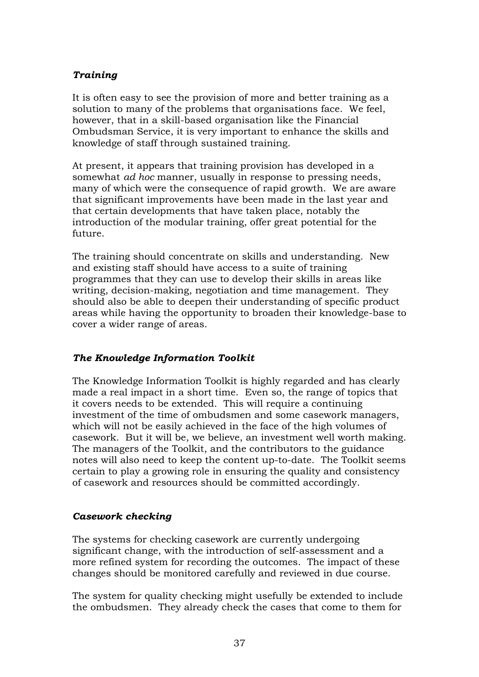### *Training*

It is often easy to see the provision of more and better training as a solution to many of the problems that organisations face. We feel, however, that in a skill-based organisation like the Financial Ombudsman Service, it is very important to enhance the skills and knowledge of staff through sustained training.

At present, it appears that training provision has developed in a somewhat *ad hoc* manner, usually in response to pressing needs, many of which were the consequence of rapid growth. We are aware that significant improvements have been made in the last year and that certain developments that have taken place, notably the introduction of the modular training, offer great potential for the future.

The training should concentrate on skills and understanding. New and existing staff should have access to a suite of training programmes that they can use to develop their skills in areas like writing, decision-making, negotiation and time management. They should also be able to deepen their understanding of specific product areas while having the opportunity to broaden their knowledge-base to cover a wider range of areas.

### *The Knowledge Information Toolkit*

The Knowledge Information Toolkit is highly regarded and has clearly made a real impact in a short time. Even so, the range of topics that it covers needs to be extended. This will require a continuing investment of the time of ombudsmen and some casework managers, which will not be easily achieved in the face of the high volumes of casework. But it will be, we believe, an investment well worth making. The managers of the Toolkit, and the contributors to the guidance notes will also need to keep the content up-to-date. The Toolkit seems certain to play a growing role in ensuring the quality and consistency of casework and resources should be committed accordingly.

#### *Casework checking*

The systems for checking casework are currently undergoing significant change, with the introduction of self-assessment and a more refined system for recording the outcomes. The impact of these changes should be monitored carefully and reviewed in due course.

The system for quality checking might usefully be extended to include the ombudsmen. They already check the cases that come to them for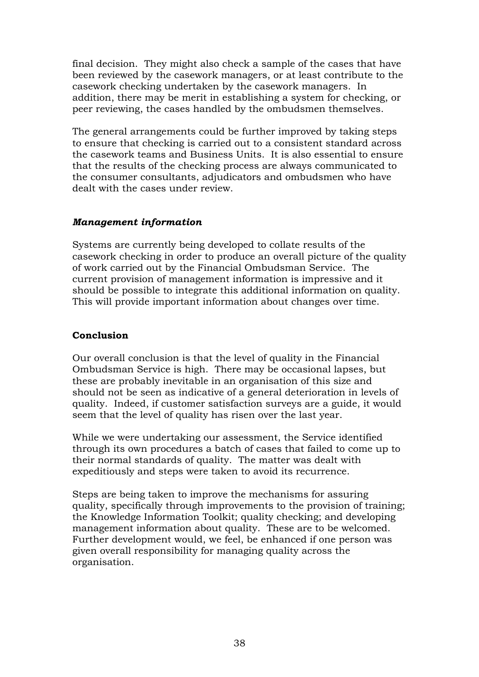final decision. They might also check a sample of the cases that have been reviewed by the casework managers, or at least contribute to the casework checking undertaken by the casework managers. In addition, there may be merit in establishing a system for checking, or peer reviewing, the cases handled by the ombudsmen themselves.

The general arrangements could be further improved by taking steps to ensure that checking is carried out to a consistent standard across the casework teams and Business Units. It is also essential to ensure that the results of the checking process are always communicated to the consumer consultants, adjudicators and ombudsmen who have dealt with the cases under review.

#### *Management information*

Systems are currently being developed to collate results of the casework checking in order to produce an overall picture of the quality of work carried out by the Financial Ombudsman Service. The current provision of management information is impressive and it should be possible to integrate this additional information on quality. This will provide important information about changes over time.

#### **Conclusion**

Our overall conclusion is that the level of quality in the Financial Ombudsman Service is high. There may be occasional lapses, but these are probably inevitable in an organisation of this size and should not be seen as indicative of a general deterioration in levels of quality. Indeed, if customer satisfaction surveys are a guide, it would seem that the level of quality has risen over the last year.

While we were undertaking our assessment, the Service identified through its own procedures a batch of cases that failed to come up to their normal standards of quality. The matter was dealt with expeditiously and steps were taken to avoid its recurrence.

Steps are being taken to improve the mechanisms for assuring quality, specifically through improvements to the provision of training; the Knowledge Information Toolkit; quality checking; and developing management information about quality. These are to be welcomed. Further development would, we feel, be enhanced if one person was given overall responsibility for managing quality across the organisation.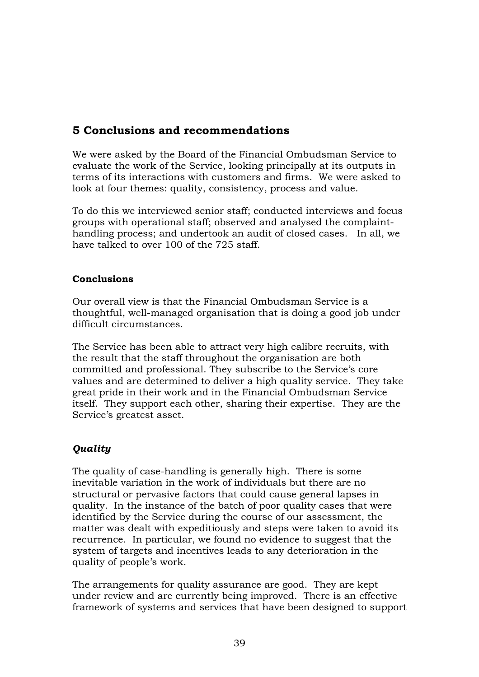## <span id="page-42-0"></span>**5 Conclusions and recommendations**

We were asked by the Board of the Financial Ombudsman Service to evaluate the work of the Service, looking principally at its outputs in terms of its interactions with customers and firms. We were asked to look at four themes: quality, consistency, process and value.

To do this we interviewed senior staff; conducted interviews and focus groups with operational staff; observed and analysed the complainthandling process; and undertook an audit of closed cases. In all, we have talked to over 100 of the 725 staff.

#### **Conclusions**

Our overall view is that the Financial Ombudsman Service is a thoughtful, well-managed organisation that is doing a good job under difficult circumstances.

The Service has been able to attract very high calibre recruits, with the result that the staff throughout the organisation are both committed and professional. They subscribe to the Service's core values and are determined to deliver a high quality service. They take great pride in their work and in the Financial Ombudsman Service itself. They support each other, sharing their expertise. They are the Service's greatest asset.

### *Quality*

The quality of case-handling is generally high. There is some inevitable variation in the work of individuals but there are no structural or pervasive factors that could cause general lapses in quality. In the instance of the batch of poor quality cases that were identified by the Service during the course of our assessment, the matter was dealt with expeditiously and steps were taken to avoid its recurrence. In particular, we found no evidence to suggest that the system of targets and incentives leads to any deterioration in the quality of people's work.

The arrangements for quality assurance are good. They are kept under review and are currently being improved. There is an effective framework of systems and services that have been designed to support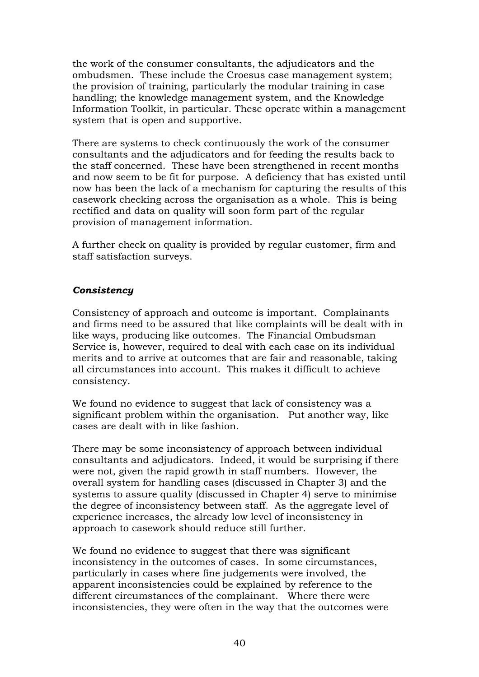the work of the consumer consultants, the adjudicators and the ombudsmen. These include the Croesus case management system; the provision of training, particularly the modular training in case handling; the knowledge management system, and the Knowledge Information Toolkit, in particular. These operate within a management system that is open and supportive.

There are systems to check continuously the work of the consumer consultants and the adjudicators and for feeding the results back to the staff concerned. These have been strengthened in recent months and now seem to be fit for purpose. A deficiency that has existed until now has been the lack of a mechanism for capturing the results of this casework checking across the organisation as a whole. This is being rectified and data on quality will soon form part of the regular provision of management information.

A further check on quality is provided by regular customer, firm and staff satisfaction surveys.

#### *Consistency*

Consistency of approach and outcome is important. Complainants and firms need to be assured that like complaints will be dealt with in like ways, producing like outcomes. The Financial Ombudsman Service is, however, required to deal with each case on its individual merits and to arrive at outcomes that are fair and reasonable, taking all circumstances into account. This makes it difficult to achieve consistency.

We found no evidence to suggest that lack of consistency was a significant problem within the organisation. Put another way, like cases are dealt with in like fashion.

There may be some inconsistency of approach between individual consultants and adjudicators. Indeed, it would be surprising if there were not, given the rapid growth in staff numbers. However, the overall system for handling cases (discussed in Chapter 3) and the systems to assure quality (discussed in Chapter 4) serve to minimise the degree of inconsistency between staff. As the aggregate level of experience increases, the already low level of inconsistency in approach to casework should reduce still further.

We found no evidence to suggest that there was significant inconsistency in the outcomes of cases. In some circumstances, particularly in cases where fine judgements were involved, the apparent inconsistencies could be explained by reference to the different circumstances of the complainant. Where there were inconsistencies, they were often in the way that the outcomes were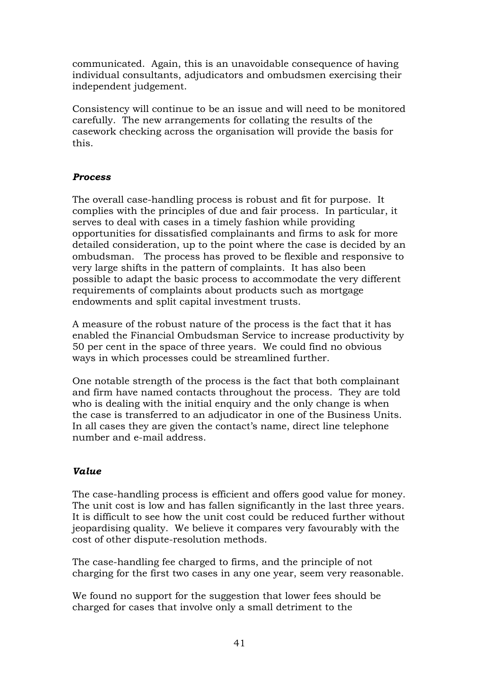communicated. Again, this is an unavoidable consequence of having individual consultants, adjudicators and ombudsmen exercising their independent judgement.

Consistency will continue to be an issue and will need to be monitored carefully. The new arrangements for collating the results of the casework checking across the organisation will provide the basis for this.

### *Process*

The overall case-handling process is robust and fit for purpose. It complies with the principles of due and fair process. In particular, it serves to deal with cases in a timely fashion while providing opportunities for dissatisfied complainants and firms to ask for more detailed consideration, up to the point where the case is decided by an ombudsman. The process has proved to be flexible and responsive to very large shifts in the pattern of complaints. It has also been possible to adapt the basic process to accommodate the very different requirements of complaints about products such as mortgage endowments and split capital investment trusts.

A measure of the robust nature of the process is the fact that it has enabled the Financial Ombudsman Service to increase productivity by 50 per cent in the space of three years. We could find no obvious ways in which processes could be streamlined further.

One notable strength of the process is the fact that both complainant and firm have named contacts throughout the process. They are told who is dealing with the initial enquiry and the only change is when the case is transferred to an adjudicator in one of the Business Units. In all cases they are given the contact's name, direct line telephone number and e-mail address.

### *Value*

The case-handling process is efficient and offers good value for money. The unit cost is low and has fallen significantly in the last three years. It is difficult to see how the unit cost could be reduced further without jeopardising quality. We believe it compares very favourably with the cost of other dispute-resolution methods.

The case-handling fee charged to firms, and the principle of not charging for the first two cases in any one year, seem very reasonable.

We found no support for the suggestion that lower fees should be charged for cases that involve only a small detriment to the